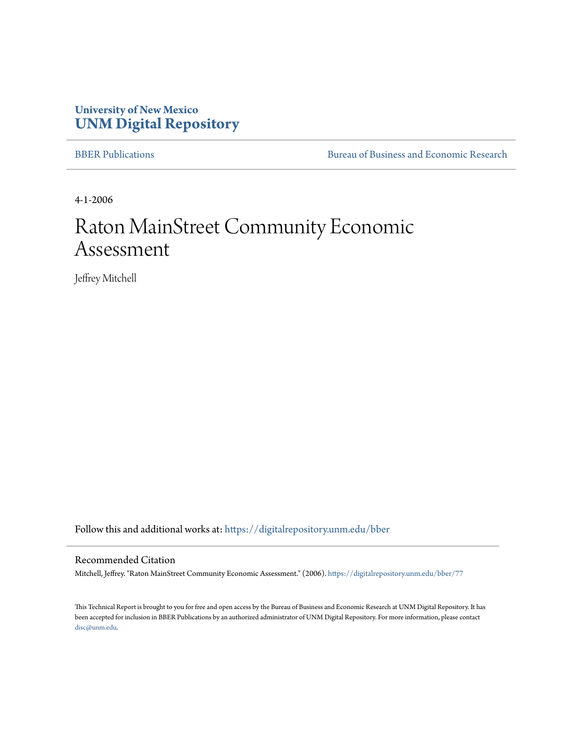## **University of New Mexico [UNM Digital Repository](https://digitalrepository.unm.edu?utm_source=digitalrepository.unm.edu%2Fbber%2F77&utm_medium=PDF&utm_campaign=PDFCoverPages)**

[BBER Publications](https://digitalrepository.unm.edu/bber?utm_source=digitalrepository.unm.edu%2Fbber%2F77&utm_medium=PDF&utm_campaign=PDFCoverPages) [Bureau of Business and Economic Research](https://digitalrepository.unm.edu/business_economic_research?utm_source=digitalrepository.unm.edu%2Fbber%2F77&utm_medium=PDF&utm_campaign=PDFCoverPages)

4-1-2006

## Raton MainStreet Community Economic Assessment

Jeffrey Mitchell

Follow this and additional works at: [https://digitalrepository.unm.edu/bber](https://digitalrepository.unm.edu/bber?utm_source=digitalrepository.unm.edu%2Fbber%2F77&utm_medium=PDF&utm_campaign=PDFCoverPages)

#### Recommended Citation

Mitchell, Jeffrey. "Raton MainStreet Community Economic Assessment." (2006). [https://digitalrepository.unm.edu/bber/77](https://digitalrepository.unm.edu/bber/77?utm_source=digitalrepository.unm.edu%2Fbber%2F77&utm_medium=PDF&utm_campaign=PDFCoverPages)

This Technical Report is brought to you for free and open access by the Bureau of Business and Economic Research at UNM Digital Repository. It has been accepted for inclusion in BBER Publications by an authorized administrator of UNM Digital Repository. For more information, please contact [disc@unm.edu](mailto:disc@unm.edu).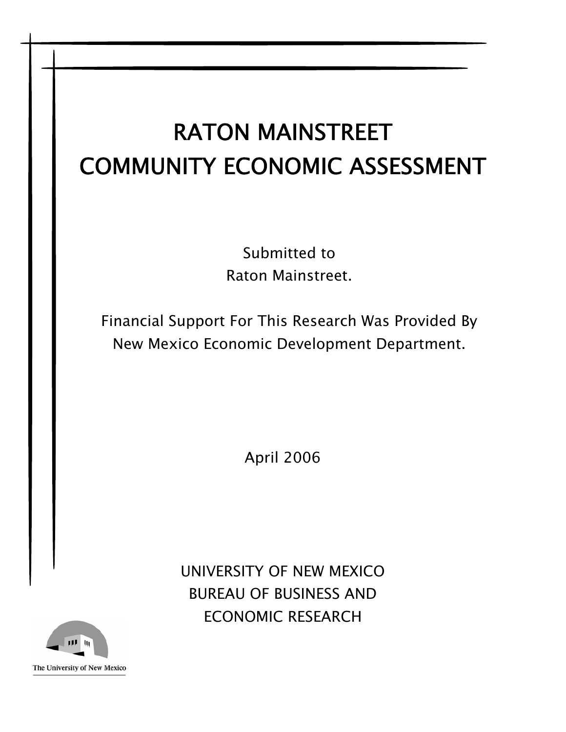# RATON MAINSTREET COMMUNITY ECONOMIC ASSESSMENT

Submitted to Raton Mainstreet.

Financial Support For This Research Was Provided By New Mexico Economic Development Department.

April 2006

UNIVERSITY OF NEW MEXICO BUREAU OF BUSINESS AND ECONOMIC RESEARCH

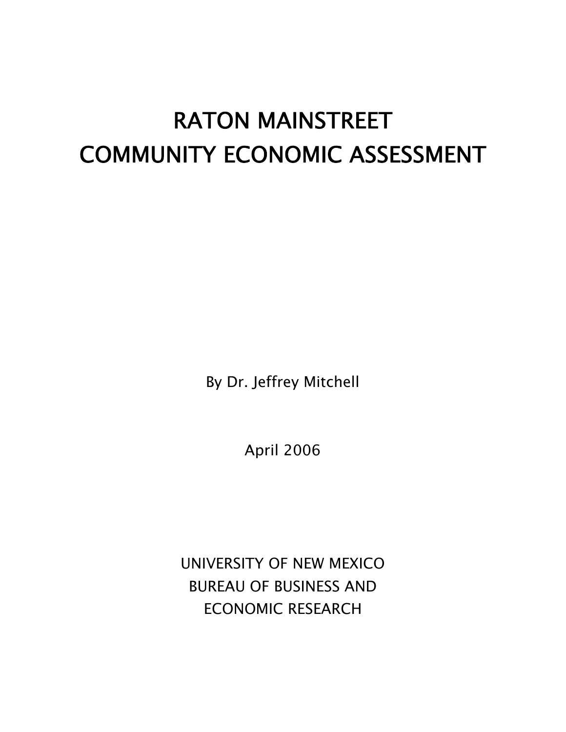# RATON MAINSTREET COMMUNITY ECONOMIC ASSESSMENT

By Dr. Jeffrey Mitchell

April 2006

UNIVERSITY OF NEW MEXICO BUREAU OF BUSINESS AND ECONOMIC RESEARCH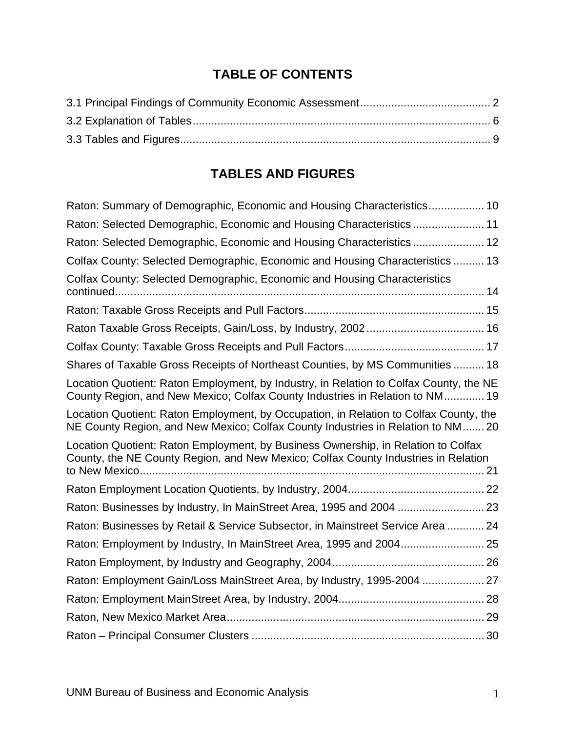## **TABLE OF CONTENTS**

## **TABLES AND FIGURES**

| Raton: Summary of Demographic, Economic and Housing Characteristics 10                                                                                                   |
|--------------------------------------------------------------------------------------------------------------------------------------------------------------------------|
| Raton: Selected Demographic, Economic and Housing Characteristics 11                                                                                                     |
| Raton: Selected Demographic, Economic and Housing Characteristics 12                                                                                                     |
| Colfax County: Selected Demographic, Economic and Housing Characteristics  13                                                                                            |
| Colfax County: Selected Demographic, Economic and Housing Characteristics                                                                                                |
|                                                                                                                                                                          |
|                                                                                                                                                                          |
|                                                                                                                                                                          |
| Shares of Taxable Gross Receipts of Northeast Counties, by MS Communities  18                                                                                            |
| Location Quotient: Raton Employment, by Industry, in Relation to Colfax County, the NE<br>County Region, and New Mexico; Colfax County Industries in Relation to NM 19   |
| Location Quotient: Raton Employment, by Occupation, in Relation to Colfax County, the<br>NE County Region, and New Mexico; Colfax County Industries in Relation to NM 20 |
| Location Quotient: Raton Employment, by Business Ownership, in Relation to Colfax<br>County, the NE County Region, and New Mexico; Colfax County Industries in Relation  |
|                                                                                                                                                                          |
| Raton: Businesses by Industry, In MainStreet Area, 1995 and 2004  23                                                                                                     |
| Raton: Businesses by Retail & Service Subsector, in Mainstreet Service Area  24                                                                                          |
|                                                                                                                                                                          |
|                                                                                                                                                                          |
| Raton: Employment Gain/Loss MainStreet Area, by Industry, 1995-2004  27                                                                                                  |
|                                                                                                                                                                          |
|                                                                                                                                                                          |
|                                                                                                                                                                          |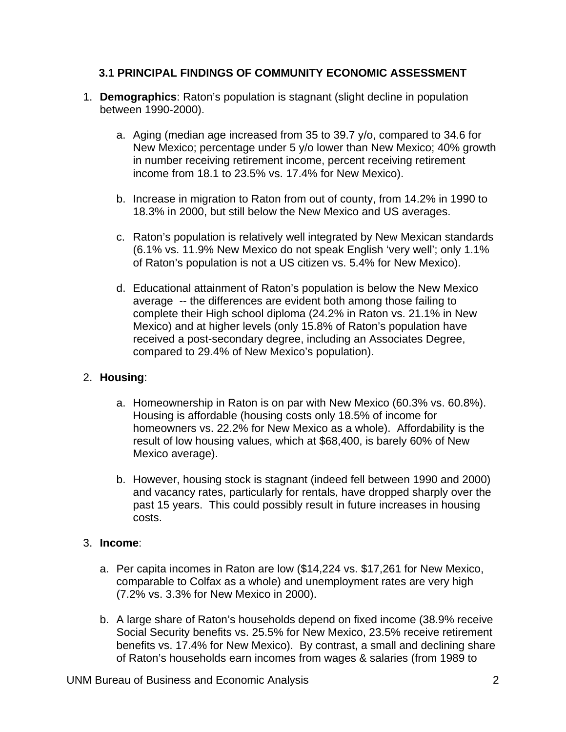#### <span id="page-4-0"></span>**3.1 PRINCIPAL FINDINGS OF COMMUNITY ECONOMIC ASSESSMENT**

- 1. **Demographics**: Raton's population is stagnant (slight decline in population between 1990-2000).
	- a. Aging (median age increased from 35 to 39.7 y/o, compared to 34.6 for New Mexico; percentage under 5 y/o lower than New Mexico; 40% growth in number receiving retirement income, percent receiving retirement income from 18.1 to 23.5% vs. 17.4% for New Mexico).
	- b. Increase in migration to Raton from out of county, from 14.2% in 1990 to 18.3% in 2000, but still below the New Mexico and US averages.
	- c. Raton's population is relatively well integrated by New Mexican standards (6.1% vs. 11.9% New Mexico do not speak English 'very well'; only 1.1% of Raton's population is not a US citizen vs. 5.4% for New Mexico).
	- d. Educational attainment of Raton's population is below the New Mexico average -- the differences are evident both among those failing to complete their High school diploma (24.2% in Raton vs. 21.1% in New Mexico) and at higher levels (only 15.8% of Raton's population have received a post-secondary degree, including an Associates Degree, compared to 29.4% of New Mexico's population).

#### 2. **Housing**:

- a. Homeownership in Raton is on par with New Mexico (60.3% vs. 60.8%). Housing is affordable (housing costs only 18.5% of income for homeowners vs. 22.2% for New Mexico as a whole). Affordability is the result of low housing values, which at \$68,400, is barely 60% of New Mexico average).
- b. However, housing stock is stagnant (indeed fell between 1990 and 2000) and vacancy rates, particularly for rentals, have dropped sharply over the past 15 years. This could possibly result in future increases in housing costs.

#### 3. **Income**:

- a. Per capita incomes in Raton are low (\$14,224 vs. \$17,261 for New Mexico, comparable to Colfax as a whole) and unemployment rates are very high (7.2% vs. 3.3% for New Mexico in 2000).
- b. A large share of Raton's households depend on fixed income (38.9% receive Social Security benefits vs. 25.5% for New Mexico, 23.5% receive retirement benefits vs. 17.4% for New Mexico). By contrast, a small and declining share of Raton's households earn incomes from wages & salaries (from 1989 to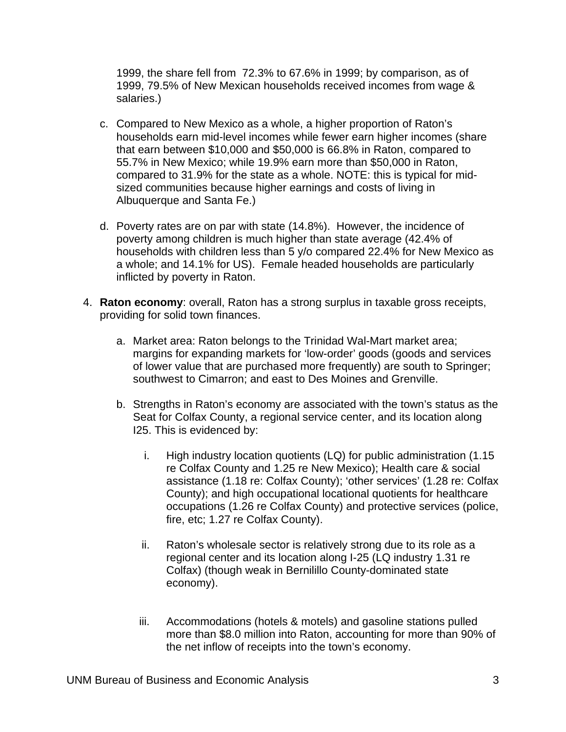1999, the share fell from 72.3% to 67.6% in 1999; by comparison, as of 1999, 79.5% of New Mexican households received incomes from wage & salaries.)

- c. Compared to New Mexico as a whole, a higher proportion of Raton's households earn mid-level incomes while fewer earn higher incomes (share that earn between \$10,000 and \$50,000 is 66.8% in Raton, compared to 55.7% in New Mexico; while 19.9% earn more than \$50,000 in Raton, compared to 31.9% for the state as a whole. NOTE: this is typical for midsized communities because higher earnings and costs of living in Albuquerque and Santa Fe.)
- d. Poverty rates are on par with state (14.8%). However, the incidence of poverty among children is much higher than state average (42.4% of households with children less than 5 y/o compared 22.4% for New Mexico as a whole; and 14.1% for US). Female headed households are particularly inflicted by poverty in Raton.
- 4. **Raton economy**: overall, Raton has a strong surplus in taxable gross receipts, providing for solid town finances.
	- a. Market area: Raton belongs to the Trinidad Wal-Mart market area; margins for expanding markets for 'low-order' goods (goods and services of lower value that are purchased more frequently) are south to Springer; southwest to Cimarron; and east to Des Moines and Grenville.
	- b. Strengths in Raton's economy are associated with the town's status as the Seat for Colfax County, a regional service center, and its location along I25. This is evidenced by:
		- i. High industry location quotients (LQ) for public administration (1.15 re Colfax County and 1.25 re New Mexico); Health care & social assistance (1.18 re: Colfax County); 'other services' (1.28 re: Colfax County); and high occupational locational quotients for healthcare occupations (1.26 re Colfax County) and protective services (police, fire, etc; 1.27 re Colfax County).
		- ii. Raton's wholesale sector is relatively strong due to its role as a regional center and its location along I-25 (LQ industry 1.31 re Colfax) (though weak in Bernilillo County-dominated state economy).
		- iii. Accommodations (hotels & motels) and gasoline stations pulled more than \$8.0 million into Raton, accounting for more than 90% of the net inflow of receipts into the town's economy.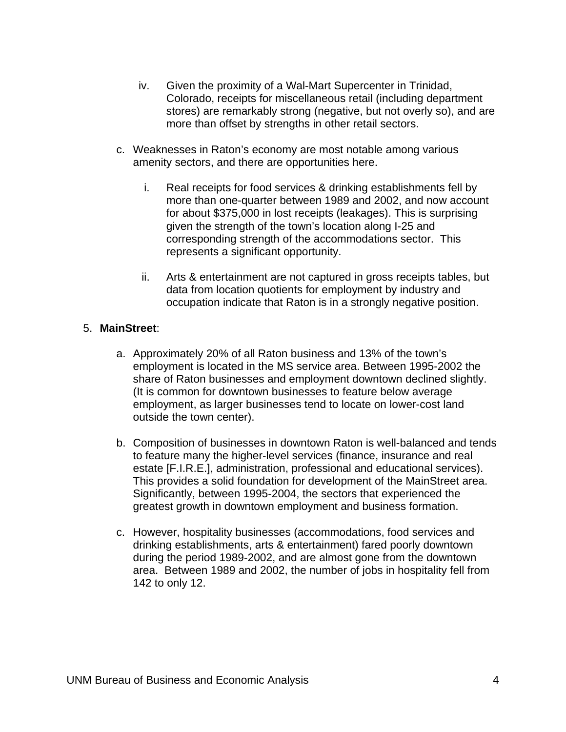- iv. Given the proximity of a Wal-Mart Supercenter in Trinidad, Colorado, receipts for miscellaneous retail (including department stores) are remarkably strong (negative, but not overly so), and are more than offset by strengths in other retail sectors.
- c. Weaknesses in Raton's economy are most notable among various amenity sectors, and there are opportunities here.
	- i. Real receipts for food services & drinking establishments fell by more than one-quarter between 1989 and 2002, and now account for about \$375,000 in lost receipts (leakages). This is surprising given the strength of the town's location along I-25 and corresponding strength of the accommodations sector. This represents a significant opportunity.
	- ii. Arts & entertainment are not captured in gross receipts tables, but data from location quotients for employment by industry and occupation indicate that Raton is in a strongly negative position.

#### 5. **MainStreet**:

- a. Approximately 20% of all Raton business and 13% of the town's employment is located in the MS service area. Between 1995-2002 the share of Raton businesses and employment downtown declined slightly. (It is common for downtown businesses to feature below average employment, as larger businesses tend to locate on lower-cost land outside the town center).
- b. Composition of businesses in downtown Raton is well-balanced and tends to feature many the higher-level services (finance, insurance and real estate [F.I.R.E.], administration, professional and educational services). This provides a solid foundation for development of the MainStreet area. Significantly, between 1995-2004, the sectors that experienced the greatest growth in downtown employment and business formation.
- c. However, hospitality businesses (accommodations, food services and drinking establishments, arts & entertainment) fared poorly downtown during the period 1989-2002, and are almost gone from the downtown area. Between 1989 and 2002, the number of jobs in hospitality fell from 142 to only 12.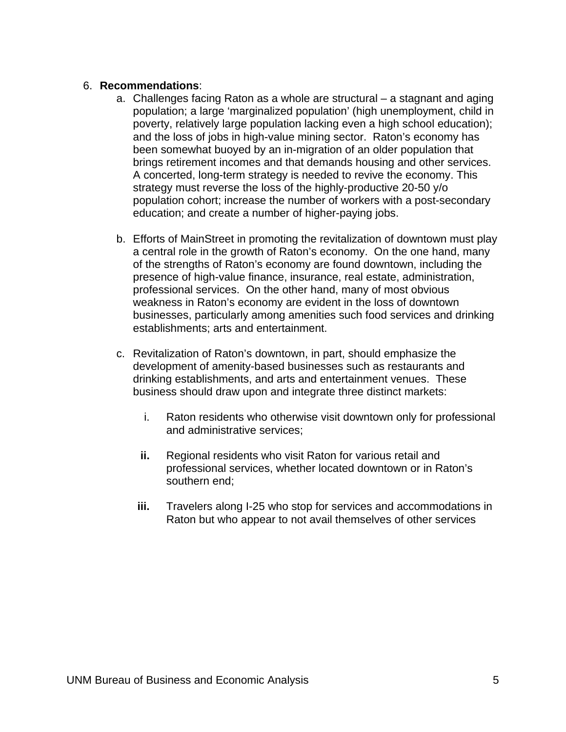#### 6. **Recommendations**:

- a. Challenges facing Raton as a whole are structural a stagnant and aging population; a large 'marginalized population' (high unemployment, child in poverty, relatively large population lacking even a high school education); and the loss of jobs in high-value mining sector. Raton's economy has been somewhat buoyed by an in-migration of an older population that brings retirement incomes and that demands housing and other services. A concerted, long-term strategy is needed to revive the economy. This strategy must reverse the loss of the highly-productive 20-50 y/o population cohort; increase the number of workers with a post-secondary education; and create a number of higher-paying jobs.
- b. Efforts of MainStreet in promoting the revitalization of downtown must play a central role in the growth of Raton's economy. On the one hand, many of the strengths of Raton's economy are found downtown, including the presence of high-value finance, insurance, real estate, administration, professional services. On the other hand, many of most obvious weakness in Raton's economy are evident in the loss of downtown businesses, particularly among amenities such food services and drinking establishments; arts and entertainment.
- c. Revitalization of Raton's downtown, in part, should emphasize the development of amenity-based businesses such as restaurants and drinking establishments, and arts and entertainment venues. These business should draw upon and integrate three distinct markets:
	- i. Raton residents who otherwise visit downtown only for professional and administrative services;
	- **ii.** Regional residents who visit Raton for various retail and professional services, whether located downtown or in Raton's southern end;
	- **iii.** Travelers along I-25 who stop for services and accommodations in Raton but who appear to not avail themselves of other services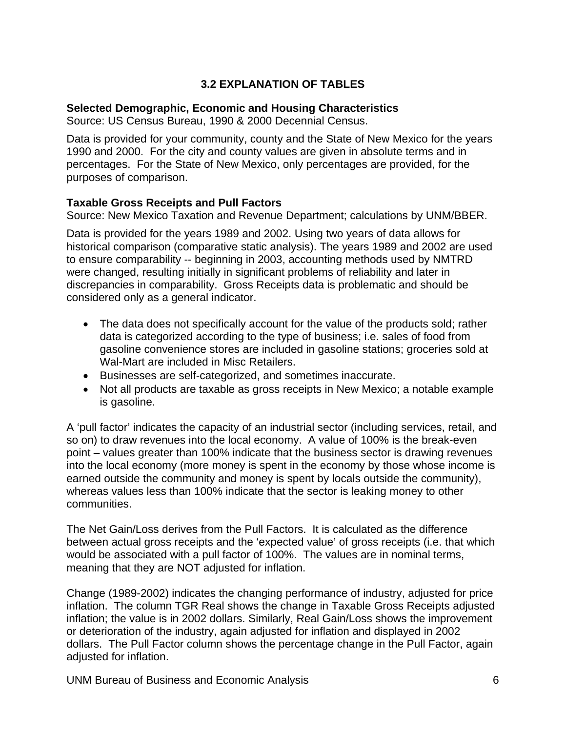#### **3.2 EXPLANATION OF TABLES**

#### <span id="page-8-0"></span>**Selected Demographic, Economic and Housing Characteristics**

Source: US Census Bureau, 1990 & 2000 Decennial Census.

Data is provided for your community, county and the State of New Mexico for the years 1990 and 2000. For the city and county values are given in absolute terms and in percentages. For the State of New Mexico, only percentages are provided, for the purposes of comparison.

#### **Taxable Gross Receipts and Pull Factors**

Source: New Mexico Taxation and Revenue Department; calculations by UNM/BBER.

Data is provided for the years 1989 and 2002. Using two years of data allows for historical comparison (comparative static analysis). The years 1989 and 2002 are used to ensure comparability -- beginning in 2003, accounting methods used by NMTRD were changed, resulting initially in significant problems of reliability and later in discrepancies in comparability. Gross Receipts data is problematic and should be considered only as a general indicator.

- The data does not specifically account for the value of the products sold; rather data is categorized according to the type of business; i.e. sales of food from gasoline convenience stores are included in gasoline stations; groceries sold at Wal-Mart are included in Misc Retailers.
- Businesses are self-categorized, and sometimes inaccurate.
- Not all products are taxable as gross receipts in New Mexico; a notable example is gasoline.

A 'pull factor' indicates the capacity of an industrial sector (including services, retail, and so on) to draw revenues into the local economy. A value of 100% is the break-even point – values greater than 100% indicate that the business sector is drawing revenues into the local economy (more money is spent in the economy by those whose income is earned outside the community and money is spent by locals outside the community), whereas values less than 100% indicate that the sector is leaking money to other communities.

The Net Gain/Loss derives from the Pull Factors. It is calculated as the difference between actual gross receipts and the 'expected value' of gross receipts (i.e. that which would be associated with a pull factor of 100%. The values are in nominal terms, meaning that they are NOT adjusted for inflation.

Change (1989-2002) indicates the changing performance of industry, adjusted for price inflation. The column TGR Real shows the change in Taxable Gross Receipts adjusted inflation; the value is in 2002 dollars. Similarly, Real Gain/Loss shows the improvement or deterioration of the industry, again adjusted for inflation and displayed in 2002 dollars. The Pull Factor column shows the percentage change in the Pull Factor, again adjusted for inflation.

UNM Bureau of Business and Economic Analysis 6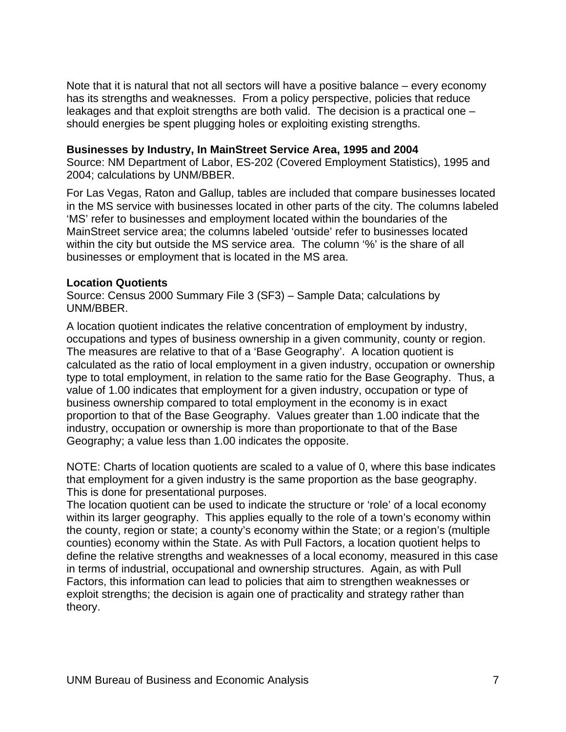Note that it is natural that not all sectors will have a positive balance – every economy has its strengths and weaknesses. From a policy perspective, policies that reduce leakages and that exploit strengths are both valid. The decision is a practical one – should energies be spent plugging holes or exploiting existing strengths.

#### **Businesses by Industry, In MainStreet Service Area, 1995 and 2004**

Source: NM Department of Labor, ES-202 (Covered Employment Statistics), 1995 and 2004; calculations by UNM/BBER.

For Las Vegas, Raton and Gallup, tables are included that compare businesses located in the MS service with businesses located in other parts of the city. The columns labeled 'MS' refer to businesses and employment located within the boundaries of the MainStreet service area; the columns labeled 'outside' refer to businesses located within the city but outside the MS service area. The column '%' is the share of all businesses or employment that is located in the MS area.

#### **Location Quotients**

Source: Census 2000 Summary File 3 (SF3) – Sample Data; calculations by UNM/BBER.

A location quotient indicates the relative concentration of employment by industry, occupations and types of business ownership in a given community, county or region. The measures are relative to that of a 'Base Geography'. A location quotient is calculated as the ratio of local employment in a given industry, occupation or ownership type to total employment, in relation to the same ratio for the Base Geography. Thus, a value of 1.00 indicates that employment for a given industry, occupation or type of business ownership compared to total employment in the economy is in exact proportion to that of the Base Geography. Values greater than 1.00 indicate that the industry, occupation or ownership is more than proportionate to that of the Base Geography; a value less than 1.00 indicates the opposite.

NOTE: Charts of location quotients are scaled to a value of 0, where this base indicates that employment for a given industry is the same proportion as the base geography. This is done for presentational purposes.

The location quotient can be used to indicate the structure or 'role' of a local economy within its larger geography. This applies equally to the role of a town's economy within the county, region or state; a county's economy within the State; or a region's (multiple counties) economy within the State. As with Pull Factors, a location quotient helps to define the relative strengths and weaknesses of a local economy, measured in this case in terms of industrial, occupational and ownership structures. Again, as with Pull Factors, this information can lead to policies that aim to strengthen weaknesses or exploit strengths; the decision is again one of practicality and strategy rather than theory.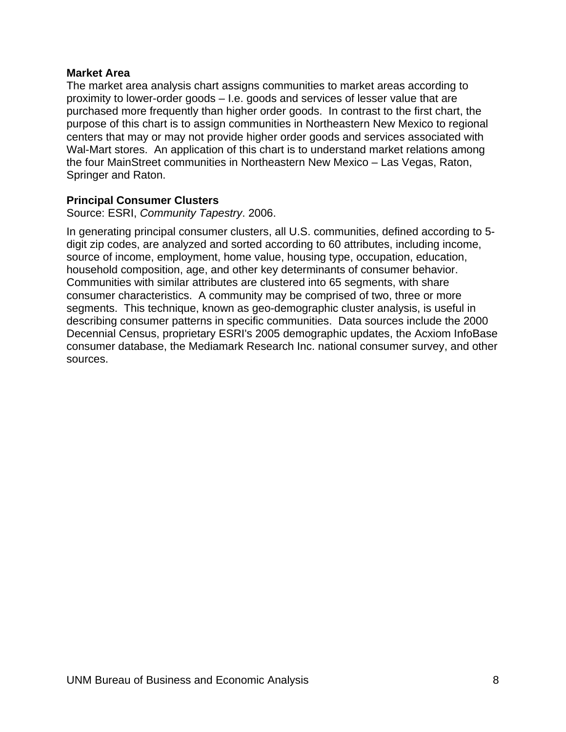#### **Market Area**

The market area analysis chart assigns communities to market areas according to proximity to lower-order goods – I.e. goods and services of lesser value that are purchased more frequently than higher order goods. In contrast to the first chart, the purpose of this chart is to assign communities in Northeastern New Mexico to regional centers that may or may not provide higher order goods and services associated with Wal-Mart stores. An application of this chart is to understand market relations among the four MainStreet communities in Northeastern New Mexico – Las Vegas, Raton, Springer and Raton.

#### **Principal Consumer Clusters**

Source: ESRI, *Community Tapestry*. 2006.

In generating principal consumer clusters, all U.S. communities, defined according to 5 digit zip codes, are analyzed and sorted according to 60 attributes, including income, source of income, employment, home value, housing type, occupation, education, household composition, age, and other key determinants of consumer behavior. Communities with similar attributes are clustered into 65 segments, with share consumer characteristics. A community may be comprised of two, three or more segments. This technique, known as geo-demographic cluster analysis, is useful in describing consumer patterns in specific communities. Data sources include the 2000 Decennial Census, proprietary ESRI's 2005 demographic updates, the Acxiom InfoBase consumer database, the Mediamark Research Inc. national consumer survey, and other sources.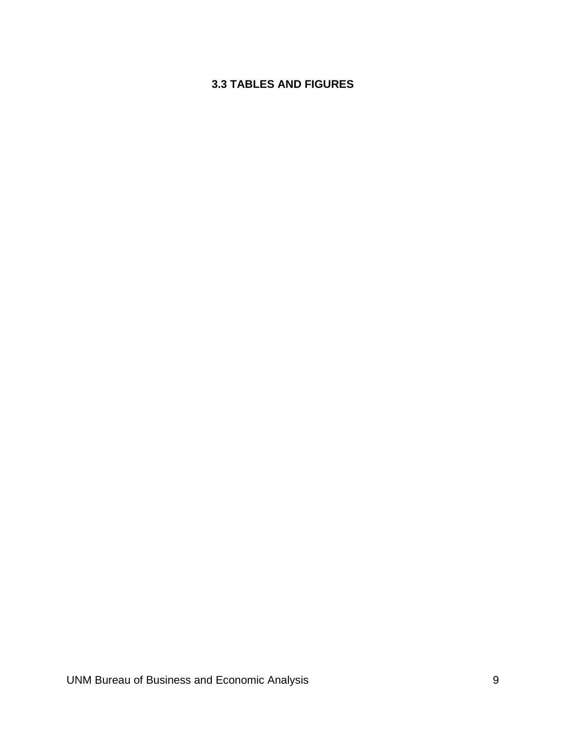## <span id="page-11-0"></span>**3.3 TABLES AND FIGURES**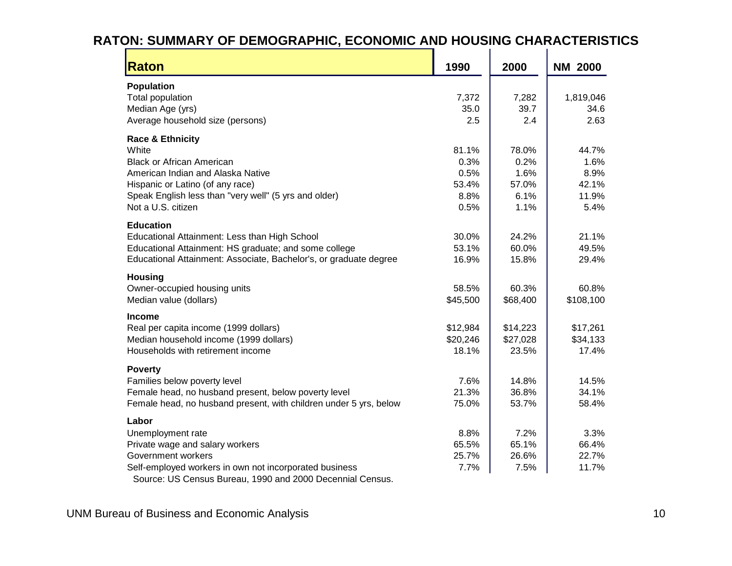## **RATON: SUMMARY OF DEMOGRAPHIC, ECONOMIC AND HOUSING CHARACTERISTICS**

<span id="page-12-0"></span>

| <b>Raton</b>                                                      | 1990     | 2000     | <b>NM 2000</b> |
|-------------------------------------------------------------------|----------|----------|----------------|
| <b>Population</b>                                                 |          |          |                |
| Total population                                                  | 7,372    | 7,282    | 1,819,046      |
| Median Age (yrs)                                                  | 35.0     | 39.7     | 34.6           |
| Average household size (persons)                                  | 2.5      | 2.4      | 2.63           |
| <b>Race &amp; Ethnicity</b>                                       |          |          |                |
| White                                                             | 81.1%    | 78.0%    | 44.7%          |
| <b>Black or African American</b>                                  | 0.3%     | 0.2%     | 1.6%           |
| American Indian and Alaska Native                                 | 0.5%     | 1.6%     | 8.9%           |
| Hispanic or Latino (of any race)                                  | 53.4%    | 57.0%    | 42.1%          |
| Speak English less than "very well" (5 yrs and older)             | 8.8%     | 6.1%     | 11.9%          |
| Not a U.S. citizen                                                | 0.5%     | 1.1%     | 5.4%           |
| <b>Education</b>                                                  |          |          |                |
| Educational Attainment: Less than High School                     | 30.0%    | 24.2%    | 21.1%          |
| Educational Attainment: HS graduate; and some college             | 53.1%    | 60.0%    | 49.5%          |
| Educational Attainment: Associate, Bachelor's, or graduate degree | 16.9%    | 15.8%    | 29.4%          |
| <b>Housing</b>                                                    |          |          |                |
| Owner-occupied housing units                                      | 58.5%    | 60.3%    | 60.8%          |
| Median value (dollars)                                            | \$45,500 | \$68,400 | \$108,100      |
| <b>Income</b>                                                     |          |          |                |
| Real per capita income (1999 dollars)                             | \$12,984 | \$14,223 | \$17,261       |
| Median household income (1999 dollars)                            | \$20,246 | \$27,028 | \$34,133       |
| Households with retirement income                                 | 18.1%    | 23.5%    | 17.4%          |
| <b>Poverty</b>                                                    |          |          |                |
| Families below poverty level                                      | 7.6%     | 14.8%    | 14.5%          |
| Female head, no husband present, below poverty level              | 21.3%    | 36.8%    | 34.1%          |
| Female head, no husband present, with children under 5 yrs, below | 75.0%    | 53.7%    | 58.4%          |
| Labor                                                             |          |          |                |
| Unemployment rate                                                 | 8.8%     | 7.2%     | 3.3%           |
| Private wage and salary workers                                   | 65.5%    | 65.1%    | 66.4%          |
| Government workers                                                | 25.7%    | 26.6%    | 22.7%          |
| Self-employed workers in own not incorporated business            | 7.7%     | 7.5%     | 11.7%          |
| Source: US Census Bureau, 1990 and 2000 Decennial Census.         |          |          |                |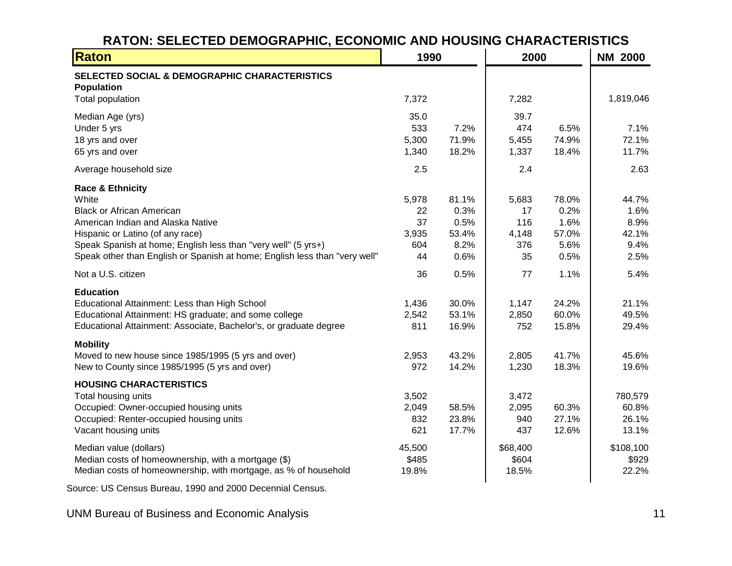## **RATON: SELECTED DEMOGRAPHIC, ECONOMIC AND HOUSING CHARACTERISTICS**

| Raton                                                                      | 1990   |       | 2000     |       | <b>NM 2000</b> |
|----------------------------------------------------------------------------|--------|-------|----------|-------|----------------|
| SELECTED SOCIAL & DEMOGRAPHIC CHARACTERISTICS<br><b>Population</b>         |        |       |          |       |                |
| Total population                                                           | 7,372  |       | 7,282    |       | 1,819,046      |
| Median Age (yrs)                                                           | 35.0   |       | 39.7     |       |                |
| Under 5 yrs                                                                | 533    | 7.2%  | 474      | 6.5%  | 7.1%           |
| 18 yrs and over                                                            | 5,300  | 71.9% | 5,455    | 74.9% | 72.1%          |
| 65 yrs and over                                                            | 1,340  | 18.2% | 1,337    | 18.4% | 11.7%          |
| Average household size                                                     | 2.5    |       | 2.4      |       | 2.63           |
| <b>Race &amp; Ethnicity</b>                                                |        |       |          |       |                |
| White                                                                      | 5,978  | 81.1% | 5,683    | 78.0% | 44.7%          |
| <b>Black or African American</b>                                           | 22     | 0.3%  | 17       | 0.2%  | 1.6%           |
| American Indian and Alaska Native                                          | 37     | 0.5%  | 116      | 1.6%  | 8.9%           |
| Hispanic or Latino (of any race)                                           | 3,935  | 53.4% | 4,148    | 57.0% | 42.1%          |
| Speak Spanish at home; English less than "very well" (5 yrs+)              | 604    | 8.2%  | 376      | 5.6%  | 9.4%           |
| Speak other than English or Spanish at home; English less than "very well" | 44     | 0.6%  | 35       | 0.5%  | 2.5%           |
| Not a U.S. citizen                                                         | 36     | 0.5%  | 77       | 1.1%  | 5.4%           |
| <b>Education</b>                                                           |        |       |          |       |                |
| Educational Attainment: Less than High School                              | 1,436  | 30.0% | 1,147    | 24.2% | 21.1%          |
| Educational Attainment: HS graduate; and some college                      | 2,542  | 53.1% | 2,850    | 60.0% | 49.5%          |
| Educational Attainment: Associate, Bachelor's, or graduate degree          | 811    | 16.9% | 752      | 15.8% | 29.4%          |
| <b>Mobility</b>                                                            |        |       |          |       |                |
| Moved to new house since 1985/1995 (5 yrs and over)                        | 2,953  | 43.2% | 2,805    | 41.7% | 45.6%          |
| New to County since 1985/1995 (5 yrs and over)                             | 972    | 14.2% | 1,230    | 18.3% | 19.6%          |
| <b>HOUSING CHARACTERISTICS</b>                                             |        |       |          |       |                |
| Total housing units                                                        | 3,502  |       | 3,472    |       | 780,579        |
| Occupied: Owner-occupied housing units                                     | 2,049  | 58.5% | 2,095    | 60.3% | 60.8%          |
| Occupied: Renter-occupied housing units                                    | 832    | 23.8% | 940      | 27.1% | 26.1%          |
| Vacant housing units                                                       | 621    | 17.7% | 437      | 12.6% | 13.1%          |
| Median value (dollars)                                                     | 45,500 |       | \$68,400 |       | \$108,100      |
| Median costs of homeownership, with a mortgage (\$)                        | \$485  |       | \$604    |       | \$929          |
| Median costs of homeownership, with mortgage, as % of household            | 19.8%  |       | 18.5%    |       | 22.2%          |
|                                                                            |        |       |          |       |                |

Source: US Census Bureau, 1990 and 2000 Decennial Census.

<span id="page-13-0"></span>UNM Bureau of Business and Economic Analysis 11 and 2008 11 and 2009 11 and 2009 12 and 2009 12 and 2009 12 and 2009 12 and 2009 12 and 2009 12 and 2009 12 and 2009 12 and 2009 12 and 2009 12 and 2009 12 and 2009 12 and 20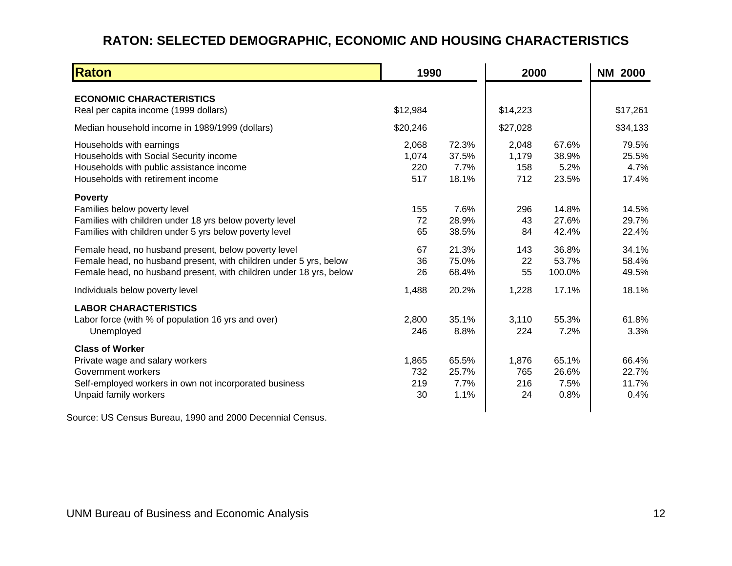## **RATON: SELECTED DEMOGRAPHIC, ECONOMIC AND HOUSING CHARACTERISTICS**

| <b>Raton</b>                                                                                                                                                                                    |                              | 1990                            |                              | 2000                            |                                 |  |
|-------------------------------------------------------------------------------------------------------------------------------------------------------------------------------------------------|------------------------------|---------------------------------|------------------------------|---------------------------------|---------------------------------|--|
| <b>ECONOMIC CHARACTERISTICS</b><br>Real per capita income (1999 dollars)                                                                                                                        | \$12,984                     |                                 | \$14,223                     |                                 | \$17,261                        |  |
| Median household income in 1989/1999 (dollars)                                                                                                                                                  | \$20,246                     |                                 | \$27,028                     |                                 | \$34,133                        |  |
| Households with earnings<br>Households with Social Security income<br>Households with public assistance income<br>Households with retirement income                                             | 2,068<br>1,074<br>220<br>517 | 72.3%<br>37.5%<br>7.7%<br>18.1% | 2,048<br>1,179<br>158<br>712 | 67.6%<br>38.9%<br>5.2%<br>23.5% | 79.5%<br>25.5%<br>4.7%<br>17.4% |  |
| <b>Poverty</b><br>Families below poverty level<br>Families with children under 18 yrs below poverty level<br>Families with children under 5 yrs below poverty level                             | 155<br>72<br>65              | 7.6%<br>28.9%<br>38.5%          | 296<br>43<br>84              | 14.8%<br>27.6%<br>42.4%         | 14.5%<br>29.7%<br>22.4%         |  |
| Female head, no husband present, below poverty level<br>Female head, no husband present, with children under 5 yrs, below<br>Female head, no husband present, with children under 18 yrs, below | 67<br>36<br>26               | 21.3%<br>75.0%<br>68.4%         | 143<br>22<br>55              | 36.8%<br>53.7%<br>100.0%        | 34.1%<br>58.4%<br>49.5%         |  |
| Individuals below poverty level                                                                                                                                                                 | 1,488                        | 20.2%                           | 1,228                        | 17.1%                           | 18.1%                           |  |
| <b>LABOR CHARACTERISTICS</b><br>Labor force (with % of population 16 yrs and over)<br>Unemployed                                                                                                | 2,800<br>246                 | 35.1%<br>8.8%                   | 3,110<br>224                 | 55.3%<br>7.2%                   | 61.8%<br>3.3%                   |  |
| <b>Class of Worker</b><br>Private wage and salary workers<br>Government workers<br>Self-employed workers in own not incorporated business<br>Unpaid family workers                              | 1,865<br>732<br>219<br>30    | 65.5%<br>25.7%<br>7.7%<br>1.1%  | 1,876<br>765<br>216<br>24    | 65.1%<br>26.6%<br>7.5%<br>0.8%  | 66.4%<br>22.7%<br>11.7%<br>0.4% |  |

<span id="page-14-0"></span>Source: US Census Bureau, 1990 and 2000 Decennial Census.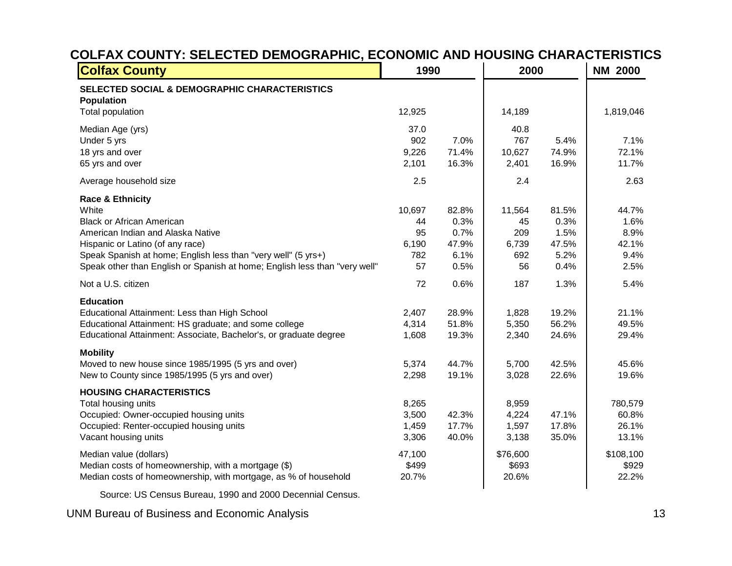## **COLFAX COUNTY: SELECTED DEMOGRAPHIC, ECONOMIC AND HOUSING CHARACTERISTICS**

| <b>Colfax County</b>                                                                                                                                                                                                                                                                             | 1990                                     |                                                | 2000                                      | <b>NM 2000</b>                                 |                                                |
|--------------------------------------------------------------------------------------------------------------------------------------------------------------------------------------------------------------------------------------------------------------------------------------------------|------------------------------------------|------------------------------------------------|-------------------------------------------|------------------------------------------------|------------------------------------------------|
| SELECTED SOCIAL & DEMOGRAPHIC CHARACTERISTICS<br><b>Population</b><br>Total population                                                                                                                                                                                                           | 12,925                                   |                                                | 14,189                                    |                                                | 1,819,046                                      |
| Median Age (yrs)<br>Under 5 yrs<br>18 yrs and over<br>65 yrs and over                                                                                                                                                                                                                            | 37.0<br>902<br>9,226<br>2,101            | 7.0%<br>71.4%<br>16.3%                         | 40.8<br>767<br>10,627<br>2,401            | 5.4%<br>74.9%<br>16.9%                         | 7.1%<br>72.1%<br>11.7%                         |
| Average household size                                                                                                                                                                                                                                                                           | 2.5                                      |                                                | 2.4                                       |                                                | 2.63                                           |
| <b>Race &amp; Ethnicity</b><br>White<br><b>Black or African American</b><br>American Indian and Alaska Native<br>Hispanic or Latino (of any race)<br>Speak Spanish at home; English less than "very well" (5 yrs+)<br>Speak other than English or Spanish at home; English less than "very well" | 10,697<br>44<br>95<br>6,190<br>782<br>57 | 82.8%<br>0.3%<br>0.7%<br>47.9%<br>6.1%<br>0.5% | 11,564<br>45<br>209<br>6,739<br>692<br>56 | 81.5%<br>0.3%<br>1.5%<br>47.5%<br>5.2%<br>0.4% | 44.7%<br>1.6%<br>8.9%<br>42.1%<br>9.4%<br>2.5% |
| Not a U.S. citizen                                                                                                                                                                                                                                                                               | 72                                       | 0.6%                                           | 187                                       | 1.3%                                           | 5.4%                                           |
| <b>Education</b><br>Educational Attainment: Less than High School<br>Educational Attainment: HS graduate; and some college<br>Educational Attainment: Associate, Bachelor's, or graduate degree                                                                                                  | 2,407<br>4,314<br>1,608                  | 28.9%<br>51.8%<br>19.3%                        | 1,828<br>5,350<br>2,340                   | 19.2%<br>56.2%<br>24.6%                        | 21.1%<br>49.5%<br>29.4%                        |
| <b>Mobility</b><br>Moved to new house since 1985/1995 (5 yrs and over)<br>New to County since 1985/1995 (5 yrs and over)                                                                                                                                                                         | 5,374<br>2,298                           | 44.7%<br>19.1%                                 | 5,700<br>3,028                            | 42.5%<br>22.6%                                 | 45.6%<br>19.6%                                 |
| <b>HOUSING CHARACTERISTICS</b><br>Total housing units<br>Occupied: Owner-occupied housing units<br>Occupied: Renter-occupied housing units<br>Vacant housing units                                                                                                                               | 8,265<br>3,500<br>1,459<br>3,306         | 42.3%<br>17.7%<br>40.0%                        | 8,959<br>4,224<br>1,597<br>3,138          | 47.1%<br>17.8%<br>35.0%                        | 780,579<br>60.8%<br>26.1%<br>13.1%             |
| Median value (dollars)<br>Median costs of homeownership, with a mortgage (\$)<br>Median costs of homeownership, with mortgage, as % of household                                                                                                                                                 | 47,100<br>\$499<br>20.7%                 |                                                | \$76,600<br>\$693<br>20.6%                |                                                | \$108,100<br>\$929<br>22.2%                    |

Source: US Census Bureau, 1990 and 2000 Decennial Census.

<span id="page-15-0"></span>UNM Bureau of Business and Economic Analysis 13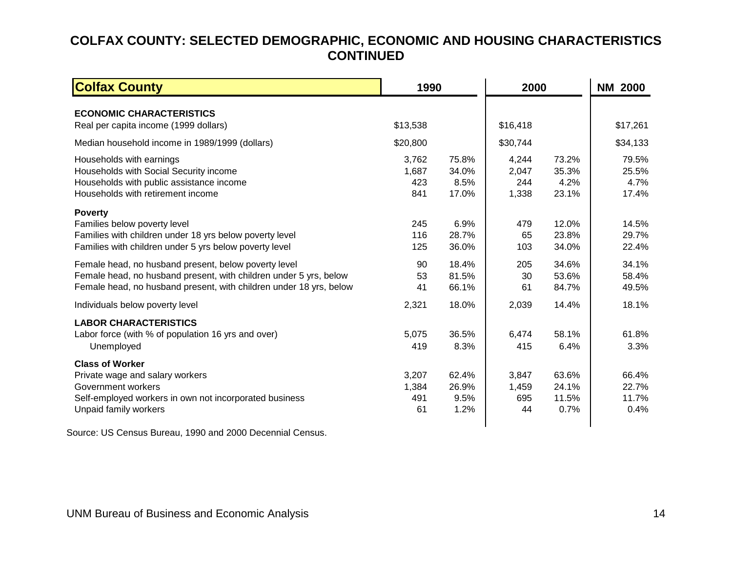## <span id="page-16-1"></span>**COLFAX COUNTY: SELECTED DEMOGRAPHIC, ECONOMIC AND HOUSING CHARACTERISTICS CONTINUED**

| <b>Colfax County</b>                                                                                                                                                                            |                              | 1990                            |                                | 2000                            |                                 |  |
|-------------------------------------------------------------------------------------------------------------------------------------------------------------------------------------------------|------------------------------|---------------------------------|--------------------------------|---------------------------------|---------------------------------|--|
| <b>ECONOMIC CHARACTERISTICS</b><br>Real per capita income (1999 dollars)                                                                                                                        | \$13,538                     |                                 | \$16,418                       |                                 | \$17,261                        |  |
| Median household income in 1989/1999 (dollars)                                                                                                                                                  | \$20,800                     |                                 | \$30,744                       |                                 | \$34,133                        |  |
| Households with earnings<br>Households with Social Security income<br>Households with public assistance income<br>Households with retirement income                                             | 3,762<br>1,687<br>423<br>841 | 75.8%<br>34.0%<br>8.5%<br>17.0% | 4,244<br>2,047<br>244<br>1,338 | 73.2%<br>35.3%<br>4.2%<br>23.1% | 79.5%<br>25.5%<br>4.7%<br>17.4% |  |
| <b>Poverty</b><br>Families below poverty level<br>Families with children under 18 yrs below poverty level<br>Families with children under 5 yrs below poverty level                             | 245<br>116<br>125            | 6.9%<br>28.7%<br>36.0%          | 479<br>65<br>103               | 12.0%<br>23.8%<br>34.0%         | 14.5%<br>29.7%<br>22.4%         |  |
| Female head, no husband present, below poverty level<br>Female head, no husband present, with children under 5 yrs, below<br>Female head, no husband present, with children under 18 yrs, below | 90<br>53<br>41               | 18.4%<br>81.5%<br>66.1%         | 205<br>30<br>61                | 34.6%<br>53.6%<br>84.7%         | 34.1%<br>58.4%<br>49.5%         |  |
| Individuals below poverty level                                                                                                                                                                 | 2,321                        | 18.0%                           | 2,039                          | 14.4%                           | 18.1%                           |  |
| <b>LABOR CHARACTERISTICS</b><br>Labor force (with % of population 16 yrs and over)<br>Unemployed                                                                                                | 5,075<br>419                 | 36.5%<br>8.3%                   | 6,474<br>415                   | 58.1%<br>6.4%                   | 61.8%<br>3.3%                   |  |
| <b>Class of Worker</b><br>Private wage and salary workers<br>Government workers<br>Self-employed workers in own not incorporated business<br>Unpaid family workers                              | 3,207<br>1,384<br>491<br>61  | 62.4%<br>26.9%<br>9.5%<br>1.2%  | 3,847<br>1,459<br>695<br>44    | 63.6%<br>24.1%<br>11.5%<br>0.7% | 66.4%<br>22.7%<br>11.7%<br>0.4% |  |

<span id="page-16-0"></span>Source: US Census Bureau, 1990 and 2000 Decennial Census.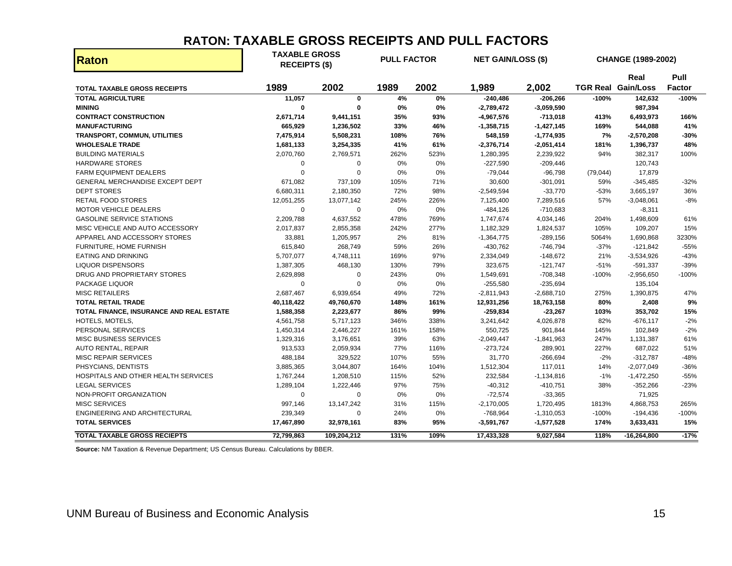### **RATON: TAXABLE GROSS RECEIPTS AND PULL FACTORS**

| Raton                                    | <b>TAXABLE GROSS</b><br><b>RECEIPTS (\$)</b> |              | <b>PULL FACTOR</b> |       | <b>NET GAIN/LOSS (\$)</b> |              |           | <b>CHANGE (1989-2002)</b>         |                       |
|------------------------------------------|----------------------------------------------|--------------|--------------------|-------|---------------------------|--------------|-----------|-----------------------------------|-----------------------|
| <b>TOTAL TAXABLE GROSS RECEIPTS</b>      | 1989                                         | 2002         | 1989               | 2002  | 1,989                     | 2,002        |           | Real<br><b>TGR Real Gain/Loss</b> | Pull<br><b>Factor</b> |
| <b>TOTAL AGRICULTURE</b>                 | 11,057                                       | $\mathbf 0$  | 4%                 | $0\%$ | $-240,486$                | $-206,266$   | $-100%$   | 142,632                           | -100%                 |
| <b>MINING</b>                            | $\bf{0}$                                     | $\bf{0}$     | 0%                 | 0%    | $-2,789,472$              | $-3,059,590$ |           | 987,394                           |                       |
| <b>CONTRACT CONSTRUCTION</b>             | 2,671,714                                    | 9,441,151    | 35%                | 93%   | $-4,967,576$              | $-713,018$   | 413%      | 6,493,973                         | 166%                  |
| <b>MANUFACTURING</b>                     | 665,929                                      | 1,236,502    | 33%                | 46%   | $-1,358,715$              | $-1,427,145$ | 169%      | 544,088                           | 41%                   |
| <b>TRANSPORT, COMMUN, UTILITIES</b>      | 7,475,914                                    | 5,508,231    | 108%               | 76%   | 548,159                   | $-1,774,935$ | 7%        | $-2,570,208$                      | $-30%$                |
| <b>WHOLESALE TRADE</b>                   | 1,681,133                                    | 3,254,335    | 41%                | 61%   | $-2,376,714$              | $-2,051,414$ | 181%      | 1,396,737                         | 48%                   |
| <b>BUILDING MATERIALS</b>                | 2,070,760                                    | 2,769,571    | 262%               | 523%  | 1,280,395                 | 2,239,922    | 94%       | 382,317                           | 100%                  |
| <b>HARDWARE STORES</b>                   | 0                                            | $\mathbf 0$  | 0%                 | 0%    | $-227,590$                | $-209,446$   |           | 120,743                           |                       |
| <b>FARM EQUIPMENT DEALERS</b>            | 0                                            | $\mathbf 0$  | 0%                 | 0%    | $-79,044$                 | $-96,798$    | (79, 044) | 17,879                            |                       |
| GENERAL MERCHANDISE EXCEPT DEPT          | 671,082                                      | 737,109      | 105%               | 71%   | 30,600                    | $-301,091$   | 59%       | $-345,485$                        | $-32%$                |
| <b>DEPT STORES</b>                       | 6,680,311                                    | 2,180,350    | 72%                | 98%   | $-2,549,594$              | $-33,770$    | $-53%$    | 3,665,197                         | 36%                   |
| <b>RETAIL FOOD STORES</b>                | 12,051,255                                   | 13,077,142   | 245%               | 226%  | 7,125,400                 | 7,289,516    | 57%       | $-3,048,061$                      | $-8%$                 |
| <b>MOTOR VEHICLE DEALERS</b>             | 0                                            | 0            | 0%                 | 0%    | $-484, 126$               | $-710,683$   |           | $-8,311$                          |                       |
| <b>GASOLINE SERVICE STATIONS</b>         | 2,209,788                                    | 4,637,552    | 478%               | 769%  | 1,747,674                 | 4,034,146    | 204%      | 1,498,609                         | 61%                   |
| MISC VEHICLE AND AUTO ACCESSORY          | 2,017,837                                    | 2,855,358    | 242%               | 277%  | 1,182,329                 | 1,824,537    | 105%      | 109,207                           | 15%                   |
| APPAREL AND ACCESSORY STORES             | 33,881                                       | 1,205,957    | 2%                 | 81%   | $-1,364,775$              | $-289,156$   | 5064%     | 1,690,868                         | 3230%                 |
| FURNITURE, HOME FURNISH                  | 615,840                                      | 268,749      | 59%                | 26%   | $-430,762$                | $-746,794$   | $-37%$    | $-121,842$                        | $-55%$                |
| EATING AND DRINKING                      | 5,707,077                                    | 4,748,111    | 169%               | 97%   | 2,334,049                 | -148,672     | 21%       | $-3,534,926$                      | $-43%$                |
| <b>LIQUOR DISPENSORS</b>                 | 1,387,305                                    | 468,130      | 130%               | 79%   | 323,675                   | $-121,747$   | $-51%$    | -591,337                          | $-39%$                |
| DRUG AND PROPRIETARY STORES              | 2,629,898                                    | $\mathbf 0$  | 243%               | 0%    | 1,549,691                 | $-708,348$   | $-100%$   | $-2,956,650$                      | $-100%$               |
| <b>PACKAGE LIQUOR</b>                    | $\mathbf 0$                                  | $\Omega$     | 0%                 | 0%    | $-255,580$                | $-235,694$   |           | 135,104                           |                       |
| <b>MISC RETAILERS</b>                    | 2,687,467                                    | 6,939,654    | 49%                | 72%   | $-2,811,943$              | $-2,688,710$ | 275%      | 1,390,875                         | 47%                   |
| <b>TOTAL RETAIL TRADE</b>                | 40,118,422                                   | 49,760,670   | 148%               | 161%  | 12,931,256                | 18,763,158   | 80%       | 2,408                             | 9%                    |
| TOTAL FINANCE, INSURANCE AND REAL ESTATE | 1,588,358                                    | 2,223,677    | 86%                | 99%   | $-259,834$                | $-23,267$    | 103%      | 353,702                           | 15%                   |
| HOTELS, MOTELS,                          | 4,561,758                                    | 5,717,123    | 346%               | 338%  | 3,241,642                 | 4,026,878    | 82%       | $-676, 117$                       | $-2%$                 |
| PERSONAL SERVICES                        | 1,450,314                                    | 2,446,227    | 161%               | 158%  | 550,725                   | 901,844      | 145%      | 102,849                           | $-2%$                 |
| <b>MISC BUSINESS SERVICES</b>            | 1,329,316                                    | 3,176,651    | 39%                | 63%   | $-2,049,447$              | $-1,841,963$ | 247%      | 1,131,387                         | 61%                   |
| <b>AUTO RENTAL, REPAIR</b>               | 913,533                                      | 2,059,934    | 77%                | 116%  | $-273,724$                | 289,901      | 227%      | 687,022                           | 51%                   |
| <b>MISC REPAIR SERVICES</b>              | 488,184                                      | 329,522      | 107%               | 55%   | 31,770                    | $-266,694$   | $-2%$     | $-312,787$                        | $-48%$                |
| PHSYCIANS, DENTISTS                      | 3,885,365                                    | 3,044,807    | 164%               | 104%  | 1,512,304                 | 117,011      | 14%       | $-2,077,049$                      | $-36%$                |
| HOSPITALS AND OTHER HEALTH SERVICES      | 1,767,244                                    | 1,208,510    | 115%               | 52%   | 232,584                   | $-1,134,816$ | $-1%$     | $-1,472,250$                      | $-55%$                |
| <b>LEGAL SERVICES</b>                    | 1,289,104                                    | 1,222,446    | 97%                | 75%   | $-40,312$                 | $-410,751$   | 38%       | $-352,266$                        | $-23%$                |
| NON-PROFIT ORGANIZATION                  | 0                                            | 0            | 0%                 | 0%    | $-72,574$                 | $-33,365$    |           | 71,925                            |                       |
| <b>MISC SERVICES</b>                     | 997,146                                      | 13, 147, 242 | 31%                | 115%  | $-2,170,005$              | 1,720,495    | 1813%     | 4,868,753                         | 265%                  |
| <b>ENGINEERING AND ARCHITECTURAL</b>     | 239,349                                      | 0            | 24%                | 0%    | $-768,964$                | $-1,310,053$ | $-100%$   | $-194,436$                        | $-100%$               |
| <b>TOTAL SERVICES</b>                    | 17,467,890                                   | 32,978,161   | 83%                | 95%   | $-3,591,767$              | $-1,577,528$ | 174%      | 3,633,431                         | 15%                   |
| <b>TOTAL TAXABLE GROSS RECIEPTS</b>      | 72,799,863                                   | 109,204,212  | 131%               | 109%  | 17,433,328                | 9,027,584    | 118%      | $-16,264,800$                     | $-17%$                |

<span id="page-17-0"></span>**Source:** NM Taxation & Revenue Department; US Census Bureau. Calculations by BBER.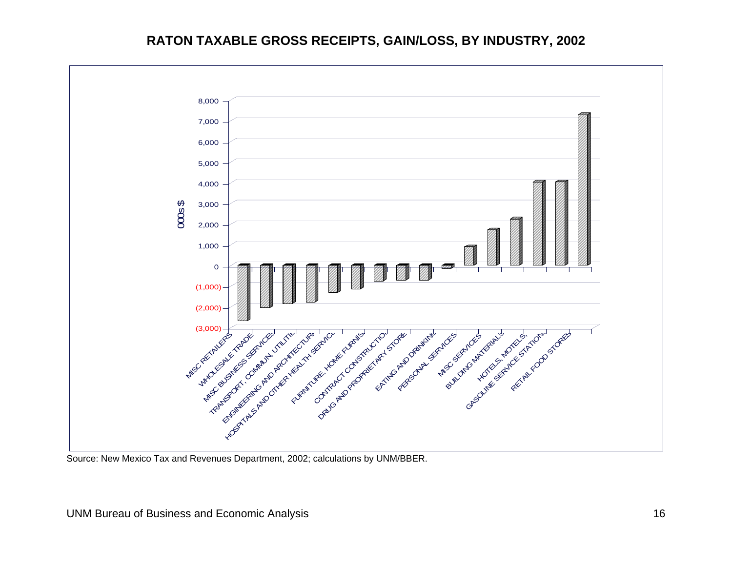### **RATON TAXABLE GROSS RECEIPTS, GAIN/LOSS, BY INDUSTRY, 2002**



<span id="page-18-0"></span>Source: New Mexico Tax and Revenues Department, 2002; calculations by UNM/BBER.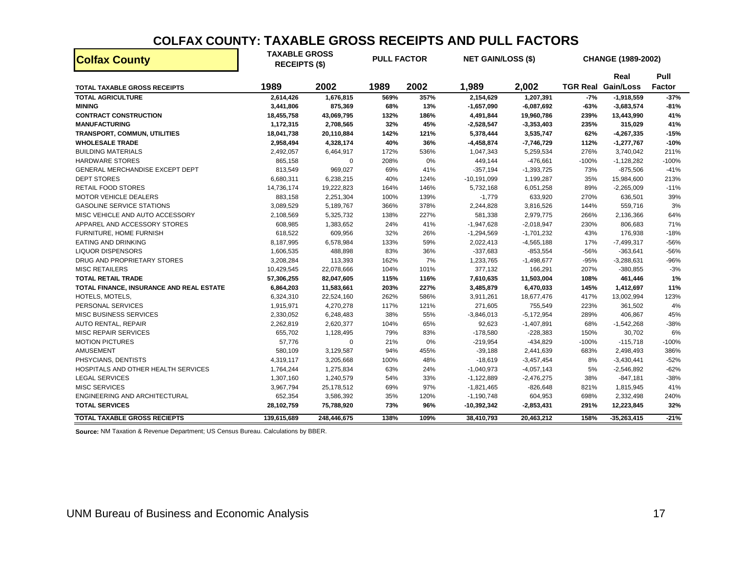#### **COLFAX COUNTY: TAXABLE GROSS RECEIPTS AND PULL FACTORS**

| <b>Colfax County</b>                     | <b>TAXABLE GROSS</b><br><b>RECEIPTS (\$)</b> |             | <b>PULL FACTOR</b> |      | <b>NET GAIN/LOSS (\$)</b> |              |         | CHANGE (1989-2002)                |                |
|------------------------------------------|----------------------------------------------|-------------|--------------------|------|---------------------------|--------------|---------|-----------------------------------|----------------|
| <b>TOTAL TAXABLE GROSS RECEIPTS</b>      | 1989                                         | 2002        | 1989               | 2002 | 1,989                     | 2,002        |         | Real<br><b>TGR Real Gain/Loss</b> | Pull<br>Factor |
| <b>TOTAL AGRICULTURE</b>                 | 2,614,426                                    | 1,676,815   | 569%               | 357% | 2,154,629                 | 1,207,391    | $-7%$   | $-1,918,559$                      | $-37%$         |
| <b>MINING</b>                            | 3,441,806                                    | 875,369     | 68%                | 13%  | $-1,657,090$              | $-6,087,692$ | -63%    | $-3,683,574$                      | $-81%$         |
| <b>CONTRACT CONSTRUCTION</b>             | 18,455,758                                   | 43,069,795  | 132%               | 186% | 4,491,844                 | 19,960,786   | 239%    | 13,443,990                        | 41%            |
| <b>MANUFACTURING</b>                     | 1,172,315                                    | 2,708,565   | 32%                | 45%  | $-2,528,547$              | $-3,353,403$ | 235%    | 315,029                           | 41%            |
| <b>TRANSPORT, COMMUN, UTILITIES</b>      | 18,041,738                                   | 20,110,884  | 142%               | 121% | 5,378,444                 | 3,535,747    | 62%     | $-4,267,335$                      | $-15%$         |
| <b>WHOLESALE TRADE</b>                   | 2,958,494                                    | 4,328,174   | 40%                | 36%  | $-4,458,874$              | $-7,746,729$ | 112%    | $-1,277,767$                      | $-10%$         |
| <b>BUILDING MATERIALS</b>                | 2,492,057                                    | 6,464,917   | 172%               | 536% | 1,047,343                 | 5,259,534    | 276%    | 3,740,042                         | 211%           |
| <b>HARDWARE STORES</b>                   | 865,158                                      | 0           | 208%               | 0%   | 449,144                   | $-476,661$   | $-100%$ | $-1,128,282$                      | $-100%$        |
| GENERAL MERCHANDISE EXCEPT DEPT          | 813,549                                      | 969,027     | 69%                | 41%  | $-357,194$                | $-1,393,725$ | 73%     | $-875,506$                        | $-41%$         |
| <b>DEPT STORES</b>                       | 6,680,311                                    | 6,238,215   | 40%                | 124% | $-10, 191, 099$           | 1,199,287    | 35%     | 15,984,600                        | 213%           |
| <b>RETAIL FOOD STORES</b>                | 14,736,174                                   | 19,222,823  | 164%               | 146% | 5,732,168                 | 6,051,258    | 89%     | $-2,265,009$                      | $-11%$         |
| <b>MOTOR VEHICLE DEALERS</b>             | 883,158                                      | 2,251,304   | 100%               | 139% | $-1,779$                  | 633,920      | 270%    | 636,501                           | 39%            |
| <b>GASOLINE SERVICE STATIONS</b>         | 3,089,529                                    | 5,189,767   | 366%               | 378% | 2,244,828                 | 3,816,526    | 144%    | 559,716                           | 3%             |
| MISC VEHICLE AND AUTO ACCESSORY          | 2,108,569                                    | 5,325,732   | 138%               | 227% | 581,338                   | 2,979,775    | 266%    | 2,136,366                         | 64%            |
| APPAREL AND ACCESSORY STORES             | 608,985                                      | 1,383,652   | 24%                | 41%  | $-1,947,628$              | $-2,018,947$ | 230%    | 806,683                           | 71%            |
| FURNITURE, HOME FURNISH                  | 618,522                                      | 609,956     | 32%                | 26%  | $-1,294,569$              | $-1,701,232$ | 43%     | 176,938                           | $-18%$         |
| <b>EATING AND DRINKING</b>               | 8,187,995                                    | 6,578,984   | 133%               | 59%  | 2,022,413                 | $-4,565,188$ | 17%     | $-7,499,317$                      | $-56%$         |
| <b>LIQUOR DISPENSORS</b>                 | 1,606,535                                    | 488,898     | 83%                | 36%  | $-337,683$                | $-853,554$   | -56%    | $-363,641$                        | $-56%$         |
| DRUG AND PROPRIETARY STORES              | 3,208,284                                    | 113,393     | 162%               | 7%   | 1,233,765                 | $-1,498,677$ | $-95%$  | $-3,288,631$                      | $-96%$         |
| <b>MISC RETAILERS</b>                    | 10,429,545                                   | 22,078,666  | 104%               | 101% | 377,132                   | 166,291      | 207%    | $-380,855$                        | $-3%$          |
| <b>TOTAL RETAIL TRADE</b>                | 57,306,255                                   | 82,047,605  | 115%               | 116% | 7,610,635                 | 11,503,004   | 108%    | 461,446                           | 1%             |
| TOTAL FINANCE, INSURANCE AND REAL ESTATE | 6,864,203                                    | 11,583,661  | 203%               | 227% | 3,485,879                 | 6,470,033    | 145%    | 1,412,697                         | 11%            |
| HOTELS, MOTELS,                          | 6,324,310                                    | 22,524,160  | 262%               | 586% | 3,911,261                 | 18,677,476   | 417%    | 13,002,994                        | 123%           |
| PERSONAL SERVICES                        | 1,915,971                                    | 4,270,278   | 117%               | 121% | 271,605                   | 755,549      | 223%    | 361,502                           | 4%             |
| <b>MISC BUSINESS SERVICES</b>            | 2,330,052                                    | 6,248,483   | 38%                | 55%  | $-3,846,013$              | $-5,172,954$ | 289%    | 406,867                           | 45%            |
| AUTO RENTAL, REPAIR                      | 2,262,819                                    | 2,620,377   | 104%               | 65%  | 92,623                    | $-1,407,891$ | 68%     | $-1,542,268$                      | $-38%$         |
| <b>MISC REPAIR SERVICES</b>              | 655,702                                      | 1,128,495   | 79%                | 83%  | $-178,580$                | $-228,383$   | 150%    | 30,702                            | 6%             |
| <b>MOTION PICTURES</b>                   | 57,776                                       | 0           | 21%                | 0%   | $-219,954$                | -434,829     | $-100%$ | $-115,718$                        | $-100%$        |
| AMUSEMENT                                | 580,109                                      | 3,129,587   | 94%                | 455% | $-39,188$                 | 2,441,639    | 683%    | 2,498,493                         | 386%           |
| PHSYCIANS, DENTISTS                      | 4,319,117                                    | 3,205,668   | 100%               | 48%  | $-18,619$                 | $-3,457,454$ | 8%      | $-3,430,441$                      | $-52%$         |
| HOSPITALS AND OTHER HEALTH SERVICES      | 1,764,244                                    | 1,275,834   | 63%                | 24%  | $-1,040,973$              | $-4,057,143$ | 5%      | $-2,546,892$                      | $-62%$         |
| <b>LEGAL SERVICES</b>                    | 1,307,160                                    | 1,240,579   | 54%                | 33%  | $-1,122,889$              | $-2,476,275$ | 38%     | $-847,181$                        | $-38%$         |
| <b>MISC SERVICES</b>                     | 3,967,794                                    | 25,178,512  | 69%                | 97%  | $-1,821,465$              | $-826,648$   | 821%    | 1,815,945                         | 41%            |
| ENGINEERING AND ARCHITECTURAL            | 652,354                                      | 3,586,392   | 35%                | 120% | $-1,190,748$              | 604,953      | 698%    | 2,332,498                         | 240%           |
| <b>TOTAL SERVICES</b>                    | 28,102,759                                   | 75,788,920  | 73%                | 96%  | -10,392,342               | $-2,853,431$ | 291%    | 12,223,845                        | 32%            |
| <b>TOTAL TAXABLE GROSS RECIEPTS</b>      | 139,615,689                                  | 248,446,675 | 138%               | 109% | 38,410,793                | 20,463,212   | 158%    | $-35,263,415$                     | $-21%$         |

<span id="page-19-0"></span>**Source:** NM Taxation & Revenue Department; US Census Bureau. Calculations by BBER.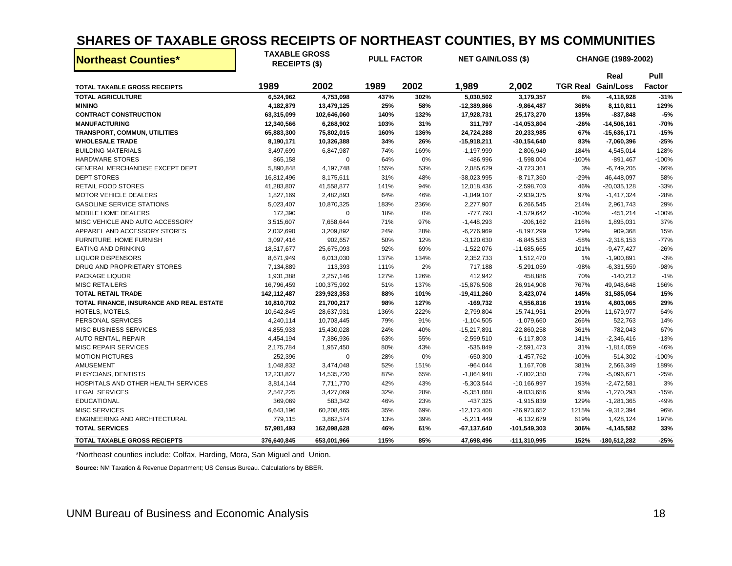# **SHARES OF TAXABLE GROSS RECEIPTS OF NORTHEAST COUNTIES, BY MS COMMUNITIES**

| <b>Northeast Counties*</b>               | <b>TAXABLE GROSS</b><br><b>RECEIPTS (\$)</b> |             | <b>PULL FACTOR</b> |      | <b>NET GAIN/LOSS (\$)</b> |                 |         | <b>CHANGE (1989-2002)</b> |               |
|------------------------------------------|----------------------------------------------|-------------|--------------------|------|---------------------------|-----------------|---------|---------------------------|---------------|
|                                          |                                              |             |                    |      |                           |                 |         | Real                      | Pull          |
| <b>TOTAL TAXABLE GROSS RECEIPTS</b>      | 1989                                         | 2002        | 1989               | 2002 | 1,989                     | 2,002           |         | <b>TGR Real Gain/Loss</b> | <b>Factor</b> |
| <b>TOTAL AGRICULTURE</b>                 | 6,524,962                                    | 4,753,098   | 437%               | 302% | 5,030,502                 | 3,179,357       | 6%      | $-4,118,928$              | $-31%$        |
| <b>MINING</b>                            | 4,182,879                                    | 13,479,125  | 25%                | 58%  | $-12,389,866$             | $-9,864,487$    | 368%    | 8,110,811                 | 129%          |
| <b>CONTRACT CONSTRUCTION</b>             | 63,315,099                                   | 102,646,060 | 140%               | 132% | 17,928,731                | 25,173,270      | 135%    | $-837,848$                | $-5%$         |
| <b>MANUFACTURING</b>                     | 12,340,566                                   | 6,268,902   | 103%               | 31%  | 311,797                   | $-14,053,804$   | -26%    | $-14,506,161$             | -70%          |
| <b>TRANSPORT, COMMUN, UTILITIES</b>      | 65,883,300                                   | 75,802,015  | 160%               | 136% | 24,724,288                | 20,233,985      | 67%     | $-15,636,171$             | $-15%$        |
| <b>WHOLESALE TRADE</b>                   | 8,190,171                                    | 10,326,388  | 34%                | 26%  | $-15,918,211$             | $-30, 154, 640$ | 83%     | $-7,060,396$              | $-25%$        |
| <b>BUILDING MATERIALS</b>                | 3,497,699                                    | 6,847,987   | 74%                | 169% | $-1,197,999$              | 2,806,949       | 184%    | 4,545,014                 | 128%          |
| <b>HARDWARE STORES</b>                   | 865,158                                      | $\Omega$    | 64%                | 0%   | $-486,996$                | $-1,598,004$    | $-100%$ | $-891,467$                | $-100%$       |
| GENERAL MERCHANDISE EXCEPT DEPT          | 5,890,848                                    | 4,197,748   | 155%               | 53%  | 2,085,629                 | $-3,723,361$    | 3%      | $-6,749,205$              | $-66%$        |
| <b>DEPT STORES</b>                       | 16,812,496                                   | 8,175,611   | 31%                | 48%  | $-38,023,995$             | $-8,717,360$    | $-29%$  | 46,448,097                | 58%           |
| <b>RETAIL FOOD STORES</b>                | 41,283,807                                   | 41,558,877  | 141%               | 94%  | 12,018,436                | $-2,598,703$    | 46%     | $-20,035,128$             | $-33%$        |
| <b>MOTOR VEHICLE DEALERS</b>             | 1,827,169                                    | 2,482,893   | 64%                | 46%  | $-1,049,107$              | $-2,939,375$    | 97%     | $-1,417,324$              | $-28%$        |
| <b>GASOLINE SERVICE STATIONS</b>         | 5,023,407                                    | 10,870,325  | 183%               | 236% | 2,277,907                 | 6,266,545       | 214%    | 2,961,743                 | 29%           |
| MOBILE HOME DEALERS                      | 172,390                                      | $\mathbf 0$ | 18%                | 0%   | $-777,793$                | $-1,579,642$    | $-100%$ | $-451,214$                | $-100%$       |
| MISC VEHICLE AND AUTO ACCESSORY          | 3,515,607                                    | 7,658,644   | 71%                | 97%  | $-1,448,293$              | $-206,162$      | 216%    | 1,895,031                 | 37%           |
| APPAREL AND ACCESSORY STORES             | 2,032,690                                    | 3,209,892   | 24%                | 28%  | $-6,276,969$              | $-8,197,299$    | 129%    | 909,368                   | 15%           |
| FURNITURE, HOME FURNISH                  | 3,097,416                                    | 902,657     | 50%                | 12%  | $-3,120,630$              | $-6,845,583$    | $-58%$  | $-2,318,153$              | $-77%$        |
| <b>EATING AND DRINKING</b>               | 18,517,677                                   | 25,675,093  | 92%                | 69%  | $-1,522,076$              | $-11,685,665$   | 101%    | $-9,477,427$              | $-26%$        |
| <b>LIQUOR DISPENSORS</b>                 | 8,671,949                                    | 6,013,030   | 137%               | 134% | 2,352,733                 | 1,512,470       | 1%      | $-1,900,891$              | $-3%$         |
| DRUG AND PROPRIETARY STORES              | 7,134,889                                    | 113,393     | 111%               | 2%   | 717,188                   | $-5,291,059$    | -98%    | $-6,331,559$              | $-98%$        |
| PACKAGE LIQUOR                           | 1,931,388                                    | 2,257,146   | 127%               | 126% | 412,942                   | 458,886         | 70%     | $-140,212$                | $-1%$         |
| <b>MISC RETAILERS</b>                    | 16,796,459                                   | 100,375,992 | 51%                | 137% | $-15,876,508$             | 26,914,908      | 767%    | 49,948,648                | 166%          |
| <b>TOTAL RETAIL TRADE</b>                | 142,112,487                                  | 239,923,353 | 88%                | 101% | $-19,411,260$             | 3,423,074       | 145%    | 31,585,054                | 15%           |
| TOTAL FINANCE, INSURANCE AND REAL ESTATE | 10,810,702                                   | 21,700,217  | 98%                | 127% | $-169,732$                | 4,556,816       | 191%    | 4,803,065                 | 29%           |
| HOTELS, MOTELS,                          | 10,642,845                                   | 28,637,931  | 136%               | 222% | 2,799,804                 | 15,741,951      | 290%    | 11,679,977                | 64%           |
| PERSONAL SERVICES                        | 4,240,114                                    | 10,703,445  | 79%                | 91%  | $-1,104,505$              | $-1,079,660$    | 266%    | 522,763                   | 14%           |
| <b>MISC BUSINESS SERVICES</b>            | 4,855,933                                    | 15,430,028  | 24%                | 40%  | $-15,217,891$             | $-22,860,258$   | 361%    | $-782,043$                | 67%           |
| AUTO RENTAL, REPAIR                      | 4,454,194                                    | 7,386,936   | 63%                | 55%  | $-2,599,510$              | $-6, 117, 803$  | 141%    | $-2,346,416$              | $-13%$        |
| <b>MISC REPAIR SERVICES</b>              | 2,175,784                                    | 1,957,450   | 80%                | 43%  | $-535,849$                | $-2,591,473$    | 31%     | $-1,814,059$              | $-46%$        |
| <b>MOTION PICTURES</b>                   | 252,396                                      | $\mathbf 0$ | 28%                | 0%   | $-650,300$                | $-1,457,762$    | $-100%$ | $-514,302$                | -100%         |
| <b>AMUSEMENT</b>                         | 1,048,832                                    | 3,474,048   | 52%                | 151% | $-964,044$                | 1,167,708       | 381%    | 2,566,349                 | 189%          |
| PHSYCIANS, DENTISTS                      | 12,233,827                                   | 14,535,720  | 87%                | 65%  | $-1,864,948$              | $-7,802,350$    | 72%     | $-5,096,671$              | $-25%$        |
| HOSPITALS AND OTHER HEALTH SERVICES      | 3,814,144                                    | 7,711,770   | 42%                | 43%  | $-5,303,544$              | $-10, 166, 997$ | 193%    | $-2,472,581$              | 3%            |
| <b>LEGAL SERVICES</b>                    | 2,547,225                                    | 3,427,069   | 32%                | 28%  | $-5,351,068$              | $-9,033,656$    | 95%     | $-1,270,293$              | $-15%$        |
| <b>EDUCATIONAL</b>                       | 369,069                                      | 583,342     | 46%                | 23%  | $-437,325$                | $-1,915,839$    | 129%    | $-1,281,365$              | -49%          |
| <b>MISC SERVICES</b>                     | 6,643,196                                    | 60,208,465  | 35%                | 69%  | $-12, 173, 408$           | $-26,973,652$   | 1215%   | $-9,312,394$              | 96%           |
| ENGINEERING AND ARCHITECTURAL            | 779,115                                      | 3,862,574   | 13%                | 39%  | $-5,211,449$              | $-6,132,679$    | 619%    | 1,428,124                 | 197%          |
| <b>TOTAL SERVICES</b>                    | 57,981,493                                   | 162,098,628 | 46%                | 61%  | $-67, 137, 640$           | -101,549,303    | 306%    | -4,145,582                | 33%           |
| <b>TOTAL TAXABLE GROSS RECIEPTS</b>      | 376.640.845                                  | 653,001,966 | 115%               | 85%  | 47,698,496                | -111,310,995    | 152%    | -180,512,282              | $-25%$        |

\*Northeast counties include: Colfax, Harding, Mora, San Miguel and Union.

<span id="page-20-0"></span>**Source:** NM Taxation & Revenue Department; US Census Bureau. Calculations by BBER.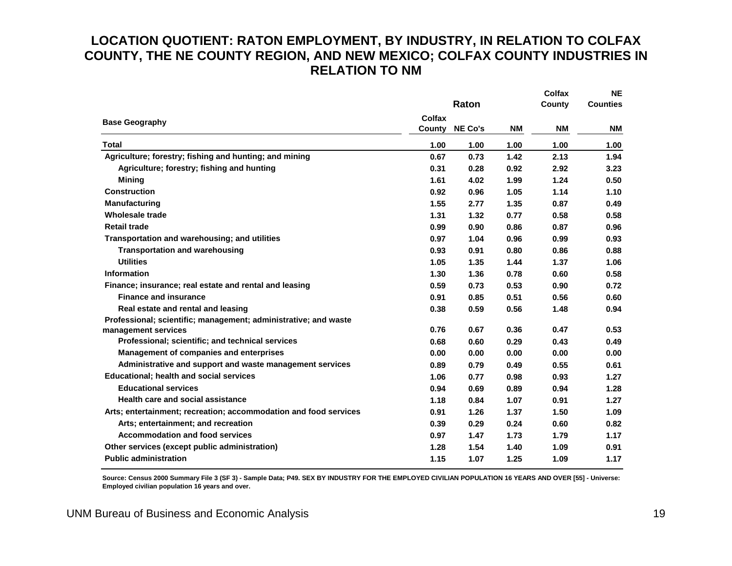## **LOCATION QUOTIENT: RATON EMPLOYMENT, BY INDUSTRY, IN RELATION TO COLFAX COUNTY, THE NE COUNTY REGION, AND NEW MEXICO; COLFAX COUNTY INDUSTRIES IN RELATION TO NM**

|                                                                  |                  | Raton          |           | <b>Colfax</b><br>County | <b>NE</b><br><b>Counties</b> |
|------------------------------------------------------------------|------------------|----------------|-----------|-------------------------|------------------------------|
|                                                                  |                  |                |           |                         |                              |
| <b>Base Geography</b>                                            | Colfax<br>County | <b>NE Co's</b> | <b>NM</b> | <b>NM</b>               | <b>NM</b>                    |
| <b>Total</b>                                                     | 1.00             | 1.00           | 1.00      | 1.00                    | 1.00                         |
| Agriculture; forestry; fishing and hunting; and mining           | 0.67             | 0.73           | 1.42      | 2.13                    | 1.94                         |
| Agriculture; forestry; fishing and hunting                       | 0.31             | 0.28           | 0.92      | 2.92                    | 3.23                         |
| <b>Mining</b>                                                    | 1.61             | 4.02           | 1.99      | 1.24                    | 0.50                         |
| <b>Construction</b>                                              | 0.92             | 0.96           | 1.05      | 1.14                    | 1.10                         |
| <b>Manufacturing</b>                                             | 1.55             | 2.77           | 1.35      | 0.87                    | 0.49                         |
| <b>Wholesale trade</b>                                           | 1.31             | 1.32           | 0.77      | 0.58                    | 0.58                         |
| <b>Retail trade</b>                                              | 0.99             | 0.90           | 0.86      | 0.87                    | 0.96                         |
| Transportation and warehousing; and utilities                    | 0.97             | 1.04           | 0.96      | 0.99                    | 0.93                         |
| <b>Transportation and warehousing</b>                            | 0.93             | 0.91           | 0.80      | 0.86                    | 0.88                         |
| <b>Utilities</b>                                                 | 1.05             | 1.35           | 1.44      | 1.37                    | 1.06                         |
| <b>Information</b>                                               | 1.30             | 1.36           | 0.78      | 0.60                    | 0.58                         |
| Finance; insurance; real estate and rental and leasing           | 0.59             | 0.73           | 0.53      | 0.90                    | 0.72                         |
| <b>Finance and insurance</b>                                     | 0.91             | 0.85           | 0.51      | 0.56                    | 0.60                         |
| Real estate and rental and leasing                               | 0.38             | 0.59           | 0.56      | 1.48                    | 0.94                         |
| Professional; scientific; management; administrative; and waste  |                  |                |           |                         |                              |
| management services                                              | 0.76             | 0.67           | 0.36      | 0.47                    | 0.53                         |
| Professional; scientific; and technical services                 | 0.68             | 0.60           | 0.29      | 0.43                    | 0.49                         |
| Management of companies and enterprises                          | 0.00             | 0.00           | 0.00      | 0.00                    | 0.00                         |
| Administrative and support and waste management services         | 0.89             | 0.79           | 0.49      | 0.55                    | 0.61                         |
| <b>Educational; health and social services</b>                   | 1.06             | 0.77           | 0.98      | 0.93                    | 1.27                         |
| <b>Educational services</b>                                      | 0.94             | 0.69           | 0.89      | 0.94                    | 1.28                         |
| Health care and social assistance                                | 1.18             | 0.84           | 1.07      | 0.91                    | 1.27                         |
| Arts; entertainment; recreation; accommodation and food services | 0.91             | 1.26           | 1.37      | 1.50                    | 1.09                         |
| Arts; entertainment; and recreation                              | 0.39             | 0.29           | 0.24      | 0.60                    | 0.82                         |
| <b>Accommodation and food services</b>                           | 0.97             | 1.47           | 1.73      | 1.79                    | 1.17                         |
| Other services (except public administration)                    | 1.28             | 1.54           | 1.40      | 1.09                    | 0.91                         |
| <b>Public administration</b>                                     | 1.15             | 1.07           | 1.25      | 1.09                    | 1.17                         |

<span id="page-21-0"></span>**Source: Census 2000 Summary File 3 (SF 3) - Sample Data; P49. SEX BY INDUSTRY FOR THE EMPLOYED CIVILIAN POPULATION 16 YEARS AND OVER [55] - Universe: Employed civilian population 16 years and over.**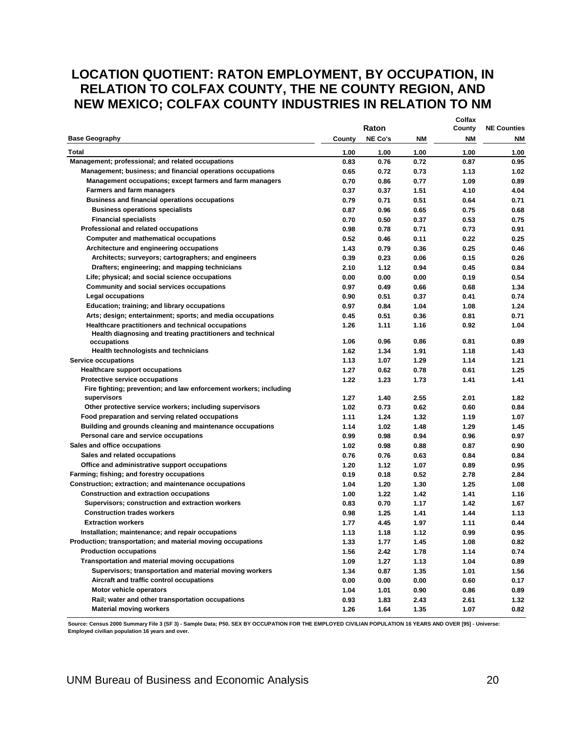## <span id="page-22-0"></span>**LOCATION QUOTIENT: RATON EMPLOYMENT, BY OCCUPATION, IN RELATION TO COLFAX COUNTY, THE NE COUNTY REGION, AND NEW MEXICO; COLFAX COUNTY INDUSTRIES IN RELATION TO NM**

|                                                                                                                  |        | Raton          |      | Colfax<br>County | <b>NE Counties</b> |
|------------------------------------------------------------------------------------------------------------------|--------|----------------|------|------------------|--------------------|
| <b>Base Geography</b>                                                                                            | County | <b>NE Co's</b> | ΝM   | NΜ               | <b>NM</b>          |
| Total                                                                                                            | 1.00   | 1.00           | 1.00 | 1.00             | 1.00               |
| Management; professional; and related occupations                                                                | 0.83   | 0.76           | 0.72 | 0.87             | 0.95               |
| Management; business; and financial operations occupations                                                       | 0.65   | 0.72           | 0.73 | 1.13             | 1.02               |
| Management occupations; except farmers and farm managers                                                         | 0.70   | 0.86           | 0.77 | 1.09             | 0.89               |
| <b>Farmers and farm managers</b>                                                                                 | 0.37   | 0.37           | 1.51 | 4.10             | 4.04               |
| <b>Business and financial operations occupations</b>                                                             | 0.79   | 0.71           | 0.51 | 0.64             | 0.71               |
| <b>Business operations specialists</b>                                                                           | 0.87   | 0.96           | 0.65 | 0.75             | 0.68               |
| <b>Financial specialists</b>                                                                                     | 0.70   | 0.50           | 0.37 | 0.53             | 0.75               |
| Professional and related occupations                                                                             | 0.98   | 0.78           | 0.71 | 0.73             | 0.91               |
| <b>Computer and mathematical occupations</b>                                                                     | 0.52   | 0.46           | 0.11 | 0.22             | 0.25               |
| Architecture and engineering occupations                                                                         | 1.43   | 0.79           | 0.36 | 0.25             | 0.46               |
| Architects; surveyors; cartographers; and engineers                                                              | 0.39   | 0.23           | 0.06 | 0.15             | 0.26               |
| Drafters; engineering; and mapping technicians                                                                   | 2.10   | 1.12           | 0.94 | 0.45             | 0.84               |
| Life; physical; and social science occupations                                                                   | 0.00   | 0.00           | 0.00 | 0.19             | 0.54               |
| Community and social services occupations                                                                        | 0.97   | 0.49           | 0.66 | 0.68             | 1.34               |
| <b>Legal occupations</b>                                                                                         | 0.90   | 0.51           | 0.37 | 0.41             | 0.74               |
| Education; training; and library occupations                                                                     | 0.97   | 0.84           | 1.04 | 1.08             | 1.24               |
| Arts; design; entertainment; sports; and media occupations                                                       | 0.45   | 0.51           | 0.36 | 0.81             | 0.71               |
| Healthcare practitioners and technical occupations<br>Health diagnosing and treating practitioners and technical | 1.26   | 1.11           | 1.16 | 0.92             | 1.04               |
| occupations                                                                                                      | 1.06   | 0.96           | 0.86 | 0.81             | 0.89               |
| Health technologists and technicians                                                                             | 1.62   | 1.34           | 1.91 | 1.18             | 1.43               |
| <b>Service occupations</b>                                                                                       | 1.13   | 1.07           | 1.29 | 1.14             | 1.21               |
| <b>Healthcare support occupations</b>                                                                            | 1.27   | 0.62           | 0.78 | 0.61             | 1.25               |
| Protective service occupations                                                                                   | 1.22   | 1.23           | 1.73 | 1.41             | 1.41               |
| Fire fighting; prevention; and law enforcement workers; including                                                |        |                |      |                  |                    |
| supervisors                                                                                                      | 1.27   | 1.40           | 2.55 | 2.01             | 1.82               |
| Other protective service workers; including supervisors                                                          | 1.02   | 0.73           | 0.62 | 0.60             | 0.84               |
| Food preparation and serving related occupations                                                                 | 1.11   | 1.24           | 1.32 | 1.19             | 1.07               |
| Building and grounds cleaning and maintenance occupations                                                        | 1.14   | 1.02           | 1.48 | 1.29             | 1.45               |
| Personal care and service occupations                                                                            | 0.99   | 0.98           | 0.94 | 0.96             | 0.97               |
| Sales and office occupations                                                                                     | 1.02   | 0.98           | 0.88 | 0.87             | 0.90               |
| Sales and related occupations                                                                                    | 0.76   | 0.76           | 0.63 | 0.84             | 0.84               |
| Office and administrative support occupations                                                                    | 1.20   | 1.12           | 1.07 | 0.89             | 0.95               |
| Farming; fishing; and forestry occupations                                                                       | 0.19   | 0.18           | 0.52 | 2.78             | 2.84               |
| Construction; extraction; and maintenance occupations                                                            | 1.04   | 1.20           | 1.30 | 1.25             | 1.08               |
| <b>Construction and extraction occupations</b>                                                                   | 1.00   | 1.22           | 1.42 | 1.41             | 1.16               |
| Supervisors; construction and extraction workers                                                                 | 0.83   | 0.70           | 1.17 | 1.42             | 1.67               |
| <b>Construction trades workers</b>                                                                               | 0.98   | 1.25           | 1.41 | 1.44             | 1.13               |
| <b>Extraction workers</b>                                                                                        | 1.77   | 4.45           | 1.97 | 1.11             | 0.44               |
| Installation; maintenance; and repair occupations                                                                | 1.13   | 1.18           | 1.12 | 0.99             | 0.95               |
| Production; transportation; and material moving occupations                                                      | 1.33   | 1.77           | 1.45 | 1.08             | 0.82               |
| <b>Production occupations</b>                                                                                    | 1.56   | 2.42           | 1.78 | 1.14             | 0.74               |
| Transportation and material moving occupations                                                                   | 1.09   | 1.27           | 1.13 | 1.04             | 0.89               |
| Supervisors; transportation and material moving workers                                                          | 1.34   | 0.87           | 1.35 | 1.01             | 1.56               |
| Aircraft and traffic control occupations                                                                         | 0.00   | 0.00           | 0.00 | 0.60             | 0.17               |
| Motor vehicle operators                                                                                          | 1.04   | 1.01           | 0.90 | 0.86             | 0.89               |
| Rail; water and other transportation occupations                                                                 | 0.93   | 1.83           | 2.43 | 2.61             | 1.32               |
| <b>Material moving workers</b>                                                                                   | 1.26   | 1.64           | 1.35 | 1.07             | 0.82               |

**Source: Census 2000 Summary File 3 (SF 3) - Sample Data; P50. SEX BY OCCUPATION FOR THE EMPLOYED CIVILIAN POPULATION 16 YEARS AND OVER [95] - Universe: Employed civilian population 16 years and over.**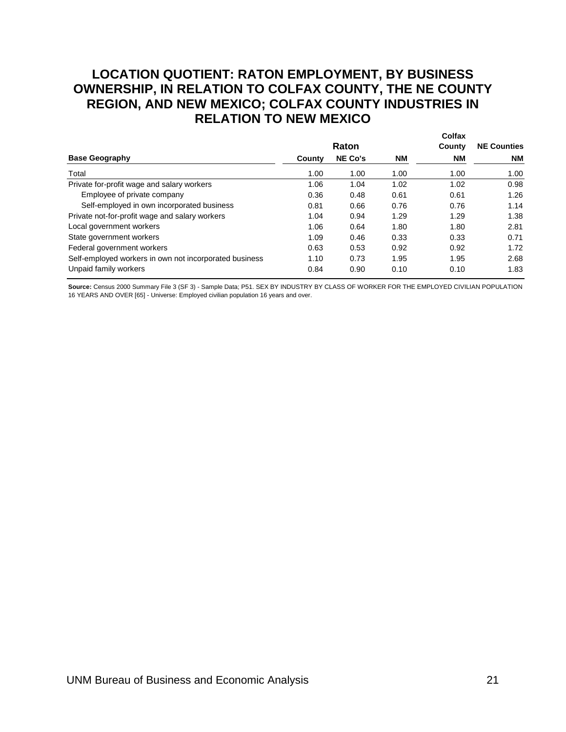## <span id="page-23-0"></span>**LOCATION QUOTIENT: RATON EMPLOYMENT, BY BUSINESS OWNERSHIP, IN RELATION TO COLFAX COUNTY, THE NE COUNTY REGION, AND NEW MEXICO; COLFAX COUNTY INDUSTRIES IN RELATION TO NEW MEXICO**

|                                                        |        | Raton          | Colfax<br>County | <b>NE Counties</b> |      |
|--------------------------------------------------------|--------|----------------|------------------|--------------------|------|
| <b>Base Geography</b>                                  | County | <b>NE Co's</b> | <b>NM</b>        | <b>NM</b>          | NM   |
| Total                                                  | 1.00   | 1.00           | 1.00             | 1.00               | 1.00 |
| Private for-profit wage and salary workers             | 1.06   | 1.04           | 1.02             | 1.02               | 0.98 |
| Employee of private company                            | 0.36   | 0.48           | 0.61             | 0.61               | 1.26 |
| Self-employed in own incorporated business             | 0.81   | 0.66           | 0.76             | 0.76               | 1.14 |
| Private not-for-profit wage and salary workers         | 1.04   | 0.94           | 1.29             | 1.29               | 1.38 |
| Local government workers                               | 1.06   | 0.64           | 1.80             | 1.80               | 2.81 |
| State government workers                               | 1.09   | 0.46           | 0.33             | 0.33               | 0.71 |
| Federal government workers                             | 0.63   | 0.53           | 0.92             | 0.92               | 1.72 |
| Self-employed workers in own not incorporated business | 1.10   | 0.73           | 1.95             | 1.95               | 2.68 |
| Unpaid family workers                                  | 0.84   | 0.90           | 0.10             | 0.10               | 1.83 |

Source: Census 2000 Summary File 3 (SF 3) - Sample Data; P51. SEX BY INDUSTRY BY CLASS OF WORKER FOR THE EMPLOYED CIVILIAN POPULATION 16 YEARS AND OVER [65] - Universe: Employed civilian population 16 years and over.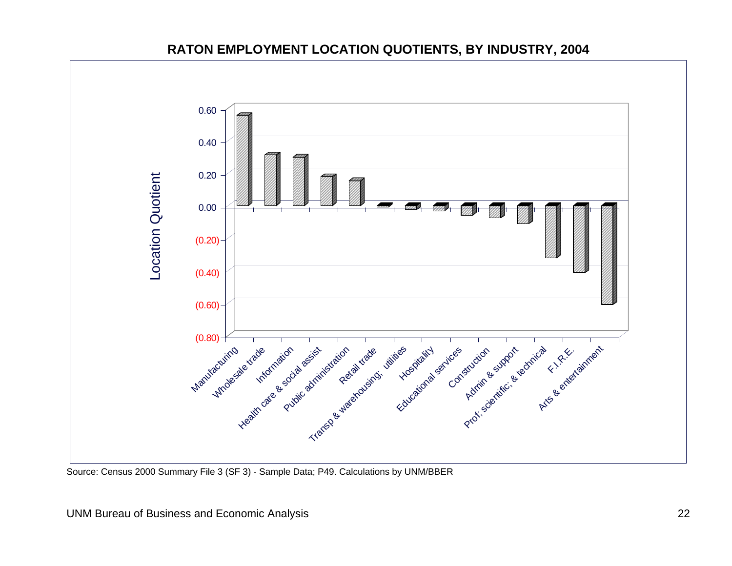

## **RATON EMPLOYMENT LOCATION QUOTIENTS, BY INDUSTRY, 2004**

<span id="page-24-0"></span>Source: Census 2000 Summary File 3 (SF 3) - Sample Data; P49. Calculations by UNM/BBER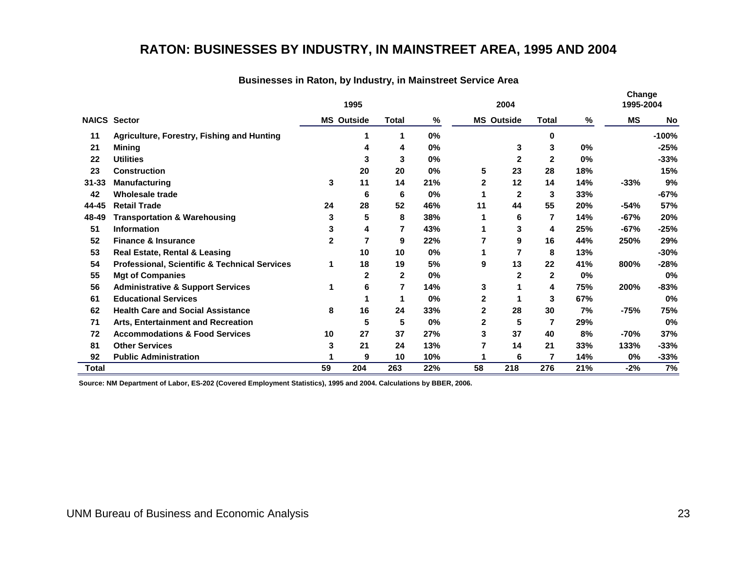## **RATON: BUSINESSES BY INDUSTRY, IN MAINSTREET AREA, 1995 AND 2004**

|           |                                                          | 1995 |                   |              | 2004 |    |                   |                          |       | Change<br>1995-2004 |           |
|-----------|----------------------------------------------------------|------|-------------------|--------------|------|----|-------------------|--------------------------|-------|---------------------|-----------|
|           | <b>NAICS Sector</b>                                      |      | <b>MS Outside</b> | Total        | %    |    | <b>MS Outside</b> | <b>Total</b>             | %     | <b>MS</b>           | <b>No</b> |
| 11        | Agriculture, Forestry, Fishing and Hunting               |      |                   | 1            | 0%   |    |                   | 0                        |       |                     | $-100%$   |
| 21        | Mining                                                   |      | 4                 | 4            | 0%   |    | 3                 | 3                        | 0%    |                     | $-25%$    |
| 22        | <b>Utilities</b>                                         |      | 3                 | 3            | 0%   |    | $\mathbf{2}$      | $\mathbf{2}$             | 0%    |                     | $-33%$    |
| 23        | <b>Construction</b>                                      |      | 20                | 20           | 0%   | 5  | 23                | 28                       | 18%   |                     | 15%       |
| $31 - 33$ | <b>Manufacturing</b>                                     | 3    | 11                | 14           | 21%  | 2  | 12                | 14                       | 14%   | $-33%$              | 9%        |
| 42        | Wholesale trade                                          |      | 6                 | 6            | 0%   |    | $\mathbf{2}$      | 3                        | 33%   |                     | -67%      |
| 44-45     | <b>Retail Trade</b>                                      | 24   | 28                | 52           | 46%  | 11 | 44                | 55                       | 20%   | $-54%$              | 57%       |
| 48-49     | <b>Transportation &amp; Warehousing</b>                  | 3    | 5                 | 8            | 38%  |    | 6                 | 7                        | 14%   | $-67%$              | 20%       |
| 51        | <b>Information</b>                                       | 3    | 4                 |              | 43%  |    | 3                 | 4                        | 25%   | $-67%$              | $-25%$    |
| 52        | <b>Finance &amp; Insurance</b>                           | 2    | 7                 | 9            | 22%  |    | 9                 | 16                       | 44%   | 250%                | 29%       |
| 53        | <b>Real Estate, Rental &amp; Leasing</b>                 |      | 10                | 10           | 0%   |    |                   | 8                        | 13%   |                     | $-30%$    |
| 54        | <b>Professional, Scientific &amp; Technical Services</b> |      | 18                | 19           | 5%   | 9  | 13                | 22                       | 41%   | 800%                | $-28%$    |
| 55        | <b>Mgt of Companies</b>                                  |      | $\mathbf{2}$      | $\mathbf{2}$ | 0%   |    | 2                 | $\mathbf{2}$             | $0\%$ |                     | 0%        |
| 56        | <b>Administrative &amp; Support Services</b>             | 1    | 6                 | 7            | 14%  | 3  |                   | 4                        | 75%   | 200%                | -83%      |
| 61        | <b>Educational Services</b>                              |      |                   | 1            | 0%   | 2  |                   | 3                        | 67%   |                     | 0%        |
| 62        | <b>Health Care and Social Assistance</b>                 | 8    | 16                | 24           | 33%  | 2  | 28                | 30                       | 7%    | -75%                | 75%       |
| 71        | Arts, Entertainment and Recreation                       |      | 5                 | 5            | 0%   | 2  | 5                 | $\overline{\phantom{a}}$ | 29%   |                     | 0%        |
| 72        | <b>Accommodations &amp; Food Services</b>                | 10   | 27                | 37           | 27%  | 3  | 37                | 40                       | 8%    | $-70%$              | 37%       |
| 81        | <b>Other Services</b>                                    | 3    | 21                | 24           | 13%  | 7  | 14                | 21                       | 33%   | 133%                | $-33%$    |
| 92        | <b>Public Administration</b>                             |      | 9                 | 10           | 10%  |    | 6                 | 7                        | 14%   | 0%                  | $-33%$    |
| Total     |                                                          | 59   | 204               | 263          | 22%  | 58 | 218               | 276                      | 21%   | $-2%$               | 7%        |

#### **Businesses in Raton, by Industry, in Mainstreet Service Area**

<span id="page-25-0"></span>**Source: NM Department of Labor, ES-202 (Covered Employment Statistics), 1995 and 2004. Calculations by BBER, 2006.**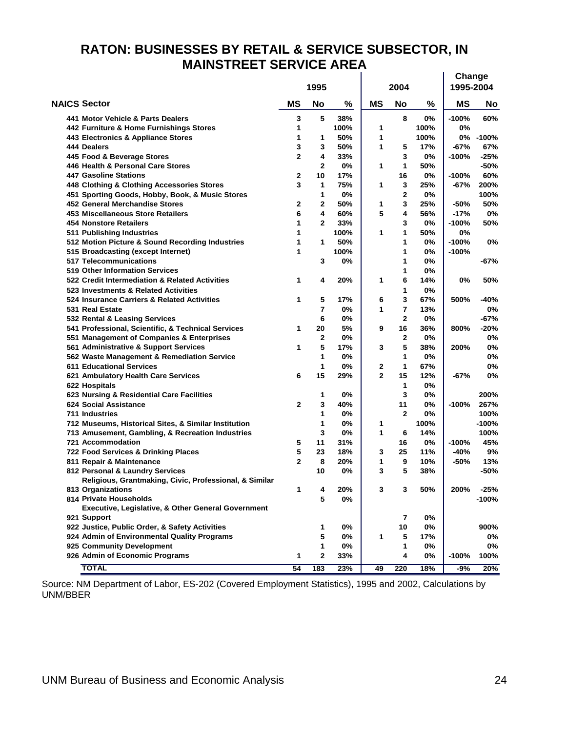#### <span id="page-26-0"></span>**Change RATON: BUSINESSES BY RETAIL & SERVICE SUBSECTOR, IN MAINSTREET SERVICE AREA**

|                                                               |                | 1995           |      |           | 2004           | Change<br>1995-2004 |         |         |
|---------------------------------------------------------------|----------------|----------------|------|-----------|----------------|---------------------|---------|---------|
| <b>NAICS Sector</b>                                           | <b>MS</b>      | <b>No</b>      | %    | <b>MS</b> | <b>No</b>      | %                   | ΜS      | No      |
| 441 Motor Vehicle & Parts Dealers                             | 3              | 5              | 38%  |           | 8              | 0%                  | $-100%$ | 60%     |
| 442 Furniture & Home Furnishings Stores                       | 1              |                | 100% | 1         |                | 100%                | 0%      |         |
| 443 Electronics & Appliance Stores                            | 1              | 1              | 50%  | 1         |                | 100%                | 0%      | $-100%$ |
| 444 Dealers                                                   | 3              | 3              | 50%  | 1         | 5              | 17%                 | $-67%$  | 67%     |
| 445 Food & Beverage Stores                                    | $\mathbf{2}$   | 4              | 33%  |           | 3              | 0%                  | $-100%$ | -25%    |
| 446 Health & Personal Care Stores                             |                | $\mathbf{2}$   | 0%   | 1         | 1              | 50%                 |         | -50%    |
| <b>447 Gasoline Stations</b>                                  | 2              | 10             | 17%  |           | 16             | 0%                  | $-100%$ | 60%     |
| 448 Clothing & Clothing Accessories Stores                    | 3              | 1              | 75%  | 1         | 3              | 25%                 | $-67%$  | 200%    |
| 451 Sporting Goods, Hobby, Book, & Music Stores               |                | 1              | 0%   |           | 2              | 0%                  |         | 100%    |
| 452 General Merchandise Stores                                | 2              | 2              | 50%  | 1         | 3              | 25%                 | $-50%$  | 50%     |
| 453 Miscellaneous Store Retailers                             | 6              | 4              | 60%  | 5         | 4              | 56%                 | $-17%$  | 0%      |
| <b>454 Nonstore Retailers</b>                                 | 1              | $\mathbf{2}$   | 33%  |           | 3              | 0%                  | $-100%$ | 50%     |
| 511 Publishing Industries                                     | 1              |                | 100% | 1         | 1              | 50%                 | 0%      |         |
| 512 Motion Picture & Sound Recording Industries               | 1              | 1              | 50%  |           | 1              | 0%                  | $-100%$ | 0%      |
| 515 Broadcasting (except Internet)                            | 1              |                | 100% |           | 1              | 0%                  | $-100%$ |         |
| <b>517 Telecommunications</b>                                 |                | 3              | 0%   |           | 1              | 0%                  |         | -67%    |
| 519 Other Information Services                                |                |                |      |           | 1              | 0%                  |         |         |
| 522 Credit Intermediation & Related Activities                | 1              | 4              | 20%  | 1         | 6              | 14%                 | 0%      | 50%     |
| 523 Investments & Related Activities                          |                |                |      |           | 1              | 0%                  |         |         |
| 524 Insurance Carriers & Related Activities                   | 1              | 5              | 17%  | 6         | 3              | 67%                 | 500%    | -40%    |
| 531 Real Estate                                               |                | $\overline{7}$ | 0%   | 1         | 7              | 13%                 |         | 0%      |
| 532 Rental & Leasing Services                                 |                | 6              | 0%   |           | $\overline{2}$ | 0%                  |         | -67%    |
| 541 Professional, Scientific, & Technical Services            | 1              | 20             | 5%   | 9         | 16             | 36%                 | 800%    | -20%    |
| 551 Management of Companies & Enterprises                     |                | 2              | 0%   |           | 2              | 0%                  |         | 0%      |
| 561 Administrative & Support Services                         | 1              | 5              | 17%  | 3         | 5              | 38%                 | 200%    | 0%      |
| 562 Waste Management & Remediation Service                    |                | 1              | 0%   |           | 1              | 0%                  |         | 0%      |
| <b>611 Educational Services</b>                               |                | 1              | 0%   | 2         | $\mathbf 1$    | 67%                 |         | 0%      |
| 621 Ambulatory Health Care Services                           | 6              | 15             | 29%  | 2         | 15             | 12%                 | $-67%$  | 0%      |
| 622 Hospitals                                                 |                |                |      |           | 1              | 0%                  |         |         |
| 623 Nursing & Residential Care Facilities                     |                | 1              | 0%   |           | 3              | 0%                  |         | 200%    |
| 624 Social Assistance                                         | $\mathbf{2}$   | 3              | 40%  |           | 11             | 0%                  | $-100%$ | 267%    |
| 711 Industries                                                |                | 1              | 0%   |           | $\mathbf{2}$   | 0%                  |         | 100%    |
| 712 Museums, Historical Sites, & Similar Institution          |                | 1              | 0%   | 1         |                | 100%                |         | $-100%$ |
| 713 Amusement, Gambling, & Recreation Industries              |                | 3              | 0%   | 1         | 6              | 14%                 |         | 100%    |
| 721 Accommodation                                             | 5              | 11             | 31%  |           | 16             | 0%                  | $-100%$ | 45%     |
| 722 Food Services & Drinking Places                           | 5              | 23             | 18%  | 3         | 25             | 11%                 | $-40%$  | 9%      |
| 811 Repair & Maintenance                                      | $\overline{2}$ | 8              | 20%  | 1         | 9              | 10%                 | -50%    | 13%     |
| 812 Personal & Laundry Services                               |                | 10             | 0%   | 3         | 5              | 38%                 |         | -50%    |
| Religious, Grantmaking, Civic, Professional, & Similar        |                |                |      |           |                |                     |         |         |
| 813 Organizations                                             | 1.             | Λ              | 20%  | 3         |                | 50%                 | 200%    | $-25%$  |
| 814 Private Households                                        |                | 5              | 0%   |           |                |                     |         | $-100%$ |
| <b>Executive, Legislative, &amp; Other General Government</b> |                |                |      |           |                |                     |         |         |
| 921 Support                                                   |                |                |      |           | 7              | 0%                  |         |         |
| 922 Justice, Public Order, & Safety Activities                |                | 1              | 0%   |           | 10             | 0%                  |         | 900%    |
| 924 Admin of Environmental Quality Programs                   |                | 5              | 0%   | 1         | 5              | 17%                 |         | 0%      |
| 925 Community Development                                     |                | 1              | 0%   |           | 1              | 0%                  |         | 0%      |
| 926 Admin of Economic Programs                                | 1              | 2              | 33%  |           | 4              | 0%                  | $-100%$ | 100%    |
| <b>TOTAL</b>                                                  | 54             | 183            | 23%  | 49        | 220            | 18%                 | -9%     | 20%     |

Source: NM Department of Labor, ES-202 (Covered Employment Statistics), 1995 and 2002, Calculations by UNM/BBER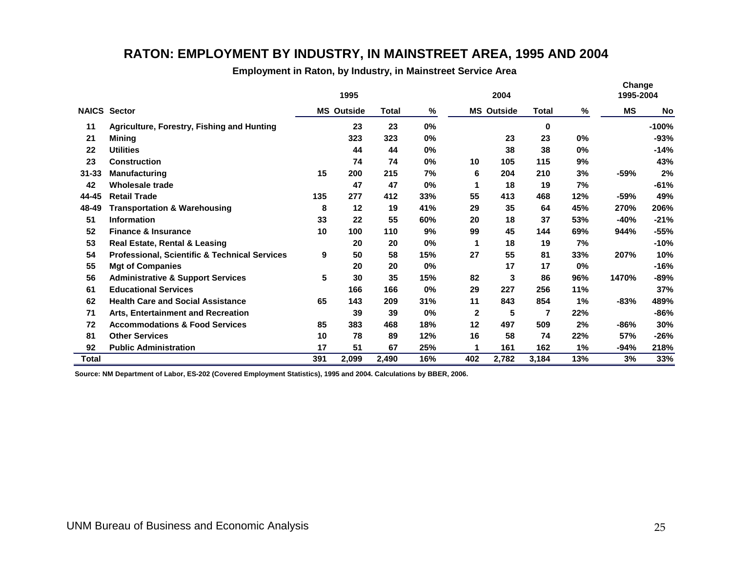## **RATON: EMPLOYMENT BY INDUSTRY, IN MAINSTREET AREA, 1995 AND 2004**

**Employment in Raton, by Industry, in Mainstreet Service Area**

|              |                                                          | 1995 |                   |       | 2004  |     |                   |       |       | Change<br>1995-2004 |           |
|--------------|----------------------------------------------------------|------|-------------------|-------|-------|-----|-------------------|-------|-------|---------------------|-----------|
|              | <b>NAICS Sector</b>                                      |      | <b>MS Outside</b> | Total | %     |     | <b>MS Outside</b> | Total | %     | <b>MS</b>           | <b>No</b> |
| 11           | Agriculture, Forestry, Fishing and Hunting               |      | 23                | 23    | 0%    |     |                   | 0     |       |                     | $-100%$   |
| 21           | Minina                                                   |      | 323               | 323   | 0%    |     | 23                | 23    | 0%    |                     | $-93%$    |
| 22           | <b>Utilities</b>                                         |      | 44                | 44    | 0%    |     | 38                | 38    | $0\%$ |                     | -14%      |
| 23           | <b>Construction</b>                                      |      | 74                | 74    | 0%    | 10  | 105               | 115   | 9%    |                     | 43%       |
| $31 - 33$    | <b>Manufacturing</b>                                     | 15   | 200               | 215   | 7%    | 6   | 204               | 210   | 3%    | -59%                | 2%        |
| 42           | <b>Wholesale trade</b>                                   |      | 47                | 47    | 0%    | 1   | 18                | 19    | 7%    |                     | $-61%$    |
| 44-45        | <b>Retail Trade</b>                                      | 135  | 277               | 412   | 33%   | 55  | 413               | 468   | 12%   | $-59%$              | 49%       |
| 48-49        | <b>Transportation &amp; Warehousing</b>                  | 8    | 12                | 19    | 41%   | 29  | 35                | 64    | 45%   | 270%                | 206%      |
| 51           | <b>Information</b>                                       | 33   | 22                | 55    | 60%   | 20  | 18                | 37    | 53%   | $-40%$              | $-21%$    |
| 52           | <b>Finance &amp; Insurance</b>                           | 10   | 100               | 110   | 9%    | 99  | 45                | 144   | 69%   | 944%                | $-55%$    |
| 53           | <b>Real Estate, Rental &amp; Leasing</b>                 |      | 20                | 20    | 0%    | 1   | 18                | 19    | 7%    |                     | -10%      |
| 54           | <b>Professional, Scientific &amp; Technical Services</b> | 9    | 50                | 58    | 15%   | 27  | 55                | 81    | 33%   | 207%                | 10%       |
| 55           | <b>Mgt of Companies</b>                                  |      | 20                | 20    | 0%    |     | 17                | 17    | 0%    |                     | -16%      |
| 56           | <b>Administrative &amp; Support Services</b>             | 5    | 30                | 35    | 15%   | 82  | 3                 | 86    | 96%   | 1470%               | -89%      |
| 61           | <b>Educational Services</b>                              |      | 166               | 166   | 0%    | 29  | 227               | 256   | 11%   |                     | 37%       |
| 62           | <b>Health Care and Social Assistance</b>                 | 65   | 143               | 209   | 31%   | 11  | 843               | 854   | 1%    | -83%                | 489%      |
| 71           | Arts, Entertainment and Recreation                       |      | 39                | 39    | $0\%$ | 2   | 5                 | 7     | 22%   |                     | -86%      |
| 72           | <b>Accommodations &amp; Food Services</b>                | 85   | 383               | 468   | 18%   | 12  | 497               | 509   | 2%    | -86%                | 30%       |
| 81           | <b>Other Services</b>                                    | 10   | 78                | 89    | 12%   | 16  | 58                | 74    | 22%   | 57%                 | -26%      |
| 92           | <b>Public Administration</b>                             | 17   | 51                | 67    | 25%   |     | 161               | 162   | 1%    | $-94%$              | 218%      |
| <b>Total</b> |                                                          | 391  | 2,099             | 2,490 | 16%   | 402 | 2,782             | 3,184 | 13%   | 3%                  | 33%       |

<span id="page-27-0"></span>**Source: NM Department of Labor, ES-202 (Covered Employment Statistics), 1995 and 2004. Calculations by BBER, 2006.**

 $\overline{a}$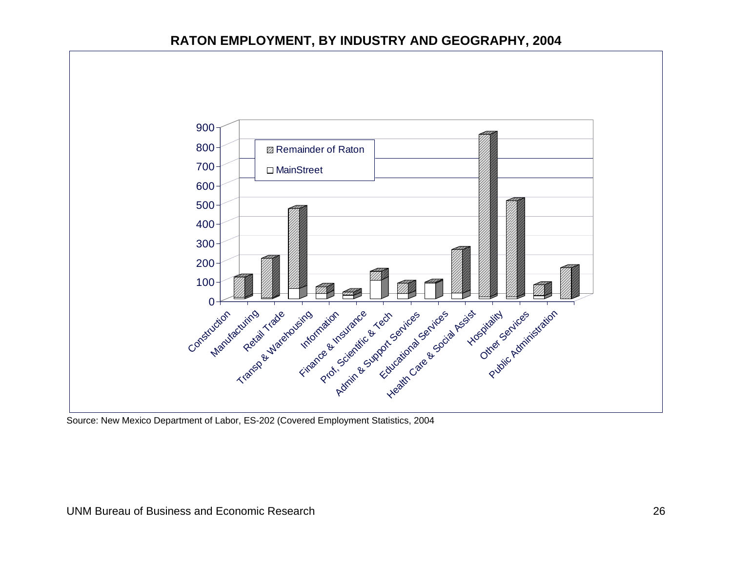#### **RATON EMPLOYMENT, BY INDUSTRY AND GEOGRAPHY, 2004**



<span id="page-28-0"></span>Source: New Mexico Department of Labor, ES-202 (Covered Employment Statistics, 2004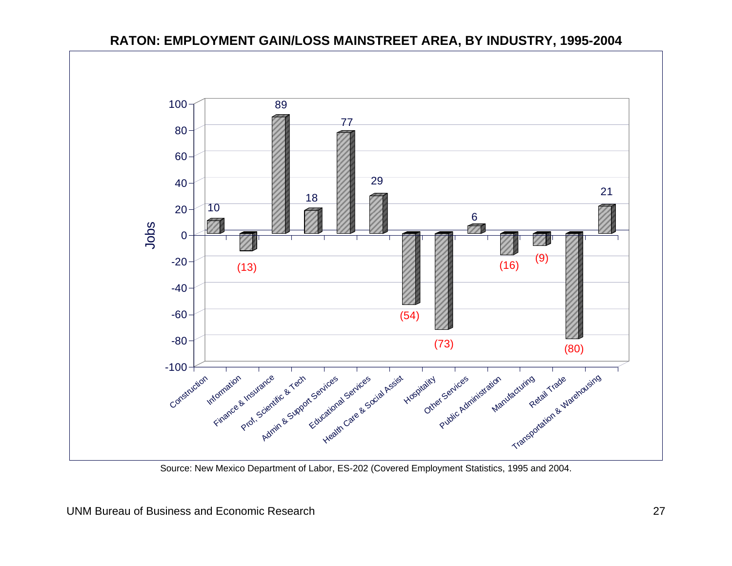

### **RATON: EMPLOYMENT GAIN/LOSS MAINSTREET AREA, BY INDUSTRY, 1995-2004**

<span id="page-29-0"></span>Source: New Mexico Department of Labor, ES-202 (Covered Employment Statistics, 1995 and 2004.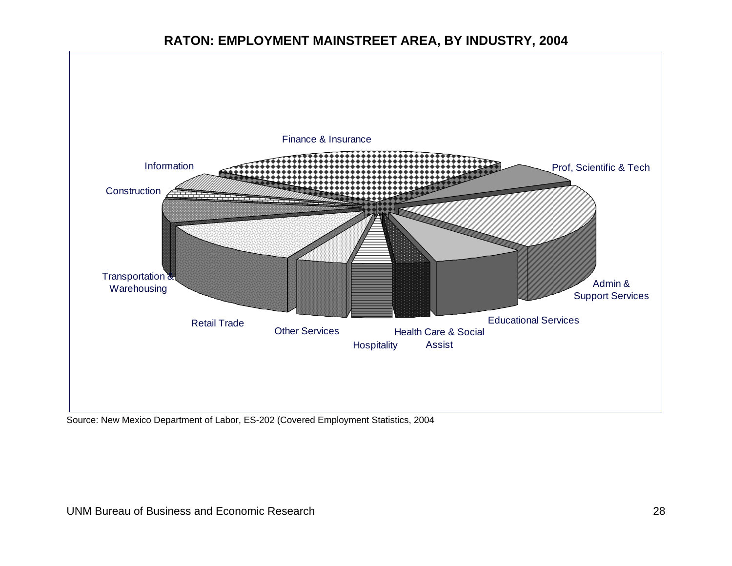## **RATON: EMPLOYMENT MAINSTREET AREA, BY INDUSTRY, 2004**



<span id="page-30-0"></span>Source: New Mexico Department of Labor, ES-202 (Covered Employment Statistics, 2004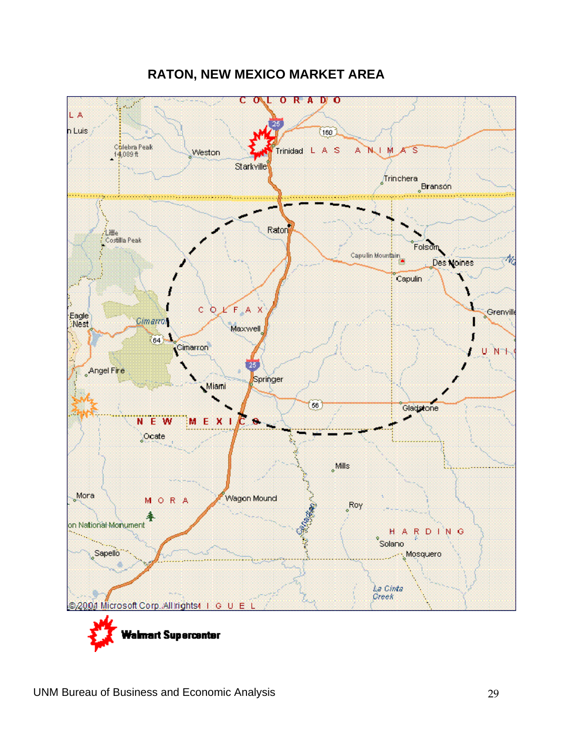<span id="page-31-0"></span>

## **RATON, NEW MEXICO MARKET AREA**